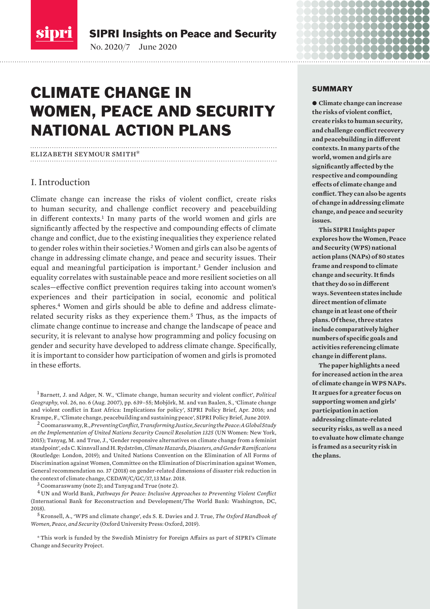

SIPRI Insights on Peace and Security

No. 2020/7 June 2020

# CLIMATE CHANGE IN WOMEN, PEACE AND SECURITY NATIONAL ACTION PLANS

#### elizabeth seymour smith\*

## I. Introduction

Climate change can increase the risks of violent conflict, create risks to human security, and challenge conflict recovery and peacebuilding in different contexts.<sup>1</sup> In many parts of the world women and girls are significantly affected by the respective and compounding effects of climate change and conflict, due to the existing inequalities they experience related to gender roles within their societies.<sup>2</sup> Women and girls can also be agents of change in addressing climate change, and peace and security issues. Their equal and meaningful participation is important.<sup>3</sup> Gender inclusion and equality correlates with sustainable peace and more resilient societies on all scales—effective conflict prevention requires taking into account women's experiences and their participation in social, economic and political spheres.4 Women and girls should be able to define and address climaterelated security risks as they experience them.<sup>5</sup> Thus, as the impacts of climate change continue to increase and change the landscape of peace and security, it is relevant to analyse how programming and policy focusing on gender and security have developed to address climate change. Specifically, it is important to consider how participation of women and girls is promoted in these efforts.

<sup>1</sup> Barnett, J. and Adger, N. W., 'Climate change, human security and violent conflict', *Political Geography*, vol. 26, no. 6 (Aug. 2007), pp. 639–55; Mobjörk, M. and van Baalen, S., '[Climate change](https://www.sipri.org/publications/2016/other-publications/climate-change-and-violent-conflict-east-africa-implications-policy)  [and violent conflict in East Africa: Implications for policy](https://www.sipri.org/publications/2016/other-publications/climate-change-and-violent-conflict-east-africa-implications-policy)', SIPRI Policy Brief, Apr. 2016; and Krampe, F., '[Climate change, peacebuilding and sustaining peace](https://www.sipri.org/sites/default/files/2019-06/pb_1906_ccr_peacebuilding_2.pdf)', SIPRI Policy Brief, June 2019.

2Coomaraswamy, R., *[Preventing Conflict, Transforming Justice, Securing the Peace: A Global Study](https://www.peacewomen.org/sites/default/files/UNW-GLOBAL-STUDY-1325-2015%20(1).pdf)  [on the Implementation of United Nations Security Council Resolution 1325](https://www.peacewomen.org/sites/default/files/UNW-GLOBAL-STUDY-1325-2015%20(1).pdf)* (UN Women: New York, 2015); Tanyag, M. and True, J., 'Gender responsive alternatives on climate change from a feminist standpoint', eds C. Kinnvall and H. Rydström, *Climate Hazards, Disasters, and Gender Ramifications* (Routledge: London, 2019); and United Nations Convention on the Elimination of All Forms of Discrimination against Women, Committee on the Elimination of Discrimination against Women, [General recommendation no. 37 \(2018\) on gender-related dimensions of disaster risk reduction in](https://tbinternet.ohchr.org/_layouts/15/treatybodyexternal/Download.aspx?symbolno=CEDAW/C/GC/37&Lang=en)  [the context of climate change](https://tbinternet.ohchr.org/_layouts/15/treatybodyexternal/Download.aspx?symbolno=CEDAW/C/GC/37&Lang=en), CEDAW/C/GC/37, 13 Mar. 2018.

3Coomaraswamy (note 2); and Tanyag and True (note 2).

<sup>4</sup> UN and World Bank, *[Pathways for Peace: Inclusive Approaches to Preventing Violent Conflict](https://openknowledge.worldbank.org/handle/10986/28337)*  (International Bank for Reconstruction and Development/The World Bank: Washington, DC, 2018).

<sup>5</sup> Kronsell, A., 'WPS and climate change', eds S. E. Davies and J. True, *The Oxford Handbook of Women, Peace, and Security* (Oxford University Press: Oxford, 2019).

\*This work is funded by the Swedish Ministry for Foreign Affairs as part of SIPRI's Climate Change and Security Project.

#### SUMMARY

 $\bullet$  Climate change can increase **the risks of violent conflict, create risks to human security, and challenge conflict recovery and peacebuilding in different contexts. In many parts of the world, women and girls are significantly affected by the respective and compounding effects of climate change and conflict. They can also be agents of change in addressing climate change, and peace and security issues.** 

8888888888

. . . . . . . . . . . 888888888

**This SIPRI Insights paper explores how the Women, Peace and Security (WPS) national action plans (NAPs) of 80 states frame and respond to climate change and security. It finds that they do so in different ways. Seventeen states include direct mention of climate change in at least one of their plans. Of these, three states include comparatively higher numbers of specific goals and activities referencing climate change in different plans.** 

**The paper highlights a need for increased action in the area of climate change in WPS NAPs. It argues for a greater focus on supporting women and girls' participation in action addressing climate-related security risks, as well as a need to evaluate how climate change is framed as a security risk in the plans.**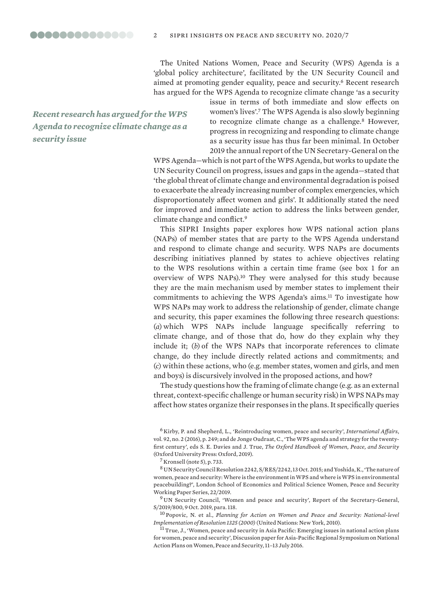00000000000000 2 sipri insights on peace and security no. 2020/7

> The United Nations Women, Peace and Security (WPS) Agenda is a 'global policy architecture', facilitated by the UN Security Council and aimed at promoting gender equality, peace and security.<sup>6</sup> Recent research has argued for the WPS Agenda to recognize climate change 'as a security

*Recent research has argued for the WPS Agenda to recognize climate change as a security issue*

issue in terms of both immediate and slow effects on women's lives'.<sup>7</sup> The WPS Agenda is also slowly beginning to recognize climate change as a challenge.<sup>8</sup> However, progress in recognizing and responding to climate change as a security issue has thus far been minimal. In October 2019 the annual report of the UN Secretary-General on the

WPS Agenda—which is not part of the WPS Agenda, but works to update the UN Security Council on progress, issues and gaps in the agenda—stated that 'the global threat of climate change and environmental degradation is poised to exacerbate the already increasing number of complex emergencies, which disproportionately affect women and girls'. It additionally stated the need for improved and immediate action to address the links between gender, climate change and conflict.<sup>9</sup>

This SIPRI Insights paper explores how WPS national action plans (NAPs) of member states that are party to the WPS Agenda understand and respond to climate change and security. WPS NAPs are documents describing initiatives planned by states to achieve objectives relating to the WPS resolutions within a certain time frame (see box 1 for an overview of WPS NAPs).<sup>10</sup> They were analysed for this study because they are the main mechanism used by member states to implement their commitments to achieving the WPS Agenda's aims.<sup>11</sup> To investigate how WPS NAPs may work to address the relationship of gender, climate change and security, this paper examines the following three research questions: (*a*) which WPS NAPs include language specifically referring to climate change, and of those that do, how do they explain why they include it; (*b*) of the WPS NAPs that incorporate references to climate change, do they include directly related actions and commitments; and (*c*) within these actions, who (e.g. member states, women and girls, and men and boys) is discursively involved in the proposed actions, and how?

The study questions how the framing of climate change (e.g. as an external threat, context-specific challenge or human security risk) in WPS NAPs may affect how states organize their responses in the plans. It specifically queries

<sup>6</sup> Kirby, P. and Shepherd, L., 'Reintroducing women, peace and security', *International Affairs*, vol. 92, no. 2 (2016), p. 249; and de Jonge Oudraat, C., 'The WPS agenda and strategy for the twentyfirst century', eds S. E. Davies and J. True, *The Oxford Handbook of Women, Peace, and Security*  (Oxford University Press: Oxford, 2019).

 $^7$  Kronsell (note 5), p. 733.

 $^8$  [UN Security Council Resolution 2242,](https://undocs.org/S/RES/2242(2015)) S/RES/2242, 13 Oct. 2015; and Yoshida, K., 'The nature of [women, peace and security: Where is the environment in WPS and where is WPS in environmental](http://www.lse.ac.uk/women-peace-security/assets/documents/2019/working-paper/wps22-Keina-Yoshida.pdf)  [peacebuilding?'](http://www.lse.ac.uk/women-peace-security/assets/documents/2019/working-paper/wps22-Keina-Yoshida.pdf), London School of Economics and Political Science Women, Peace and Security Working Paper Series, 22/2019.

<sup>&</sup>lt;sup>9</sup> UN Security Council, ['Women and peace and security](https://undocs.org/pdf?symbol=en/S/2019/800)', Report of the Secretary-General, S/2019/800, 9 Oct. 2019, para. 118.

<sup>10</sup> Popovic, N. et al., *[Planning for Action on Women and Peace and Security: National-level](https://www.international-alert.org/sites/default/files/publications/102010UNWomenPeaceSecurity.pdf)  [Implementation of Resolution 1325 \(2000\)](https://www.international-alert.org/sites/default/files/publications/102010UNWomenPeaceSecurity.pdf)* (United Nations: New York, 2010).

 $^{11}$  True, J., 'Women, peace and security in Asia Pacific: Emerging issues in national action plans [for women, peace and security'](https://asiapacific.unwomen.org/en/digital-library/publications/2016/12/-/media/ffb0342e257a4aa7aa33ef3f7c9dc00c.ashx), Discussion paper for Asia-Pacific Regional Symposium on National Action Plans on Women, Peace and Security, 11–13 July 2016.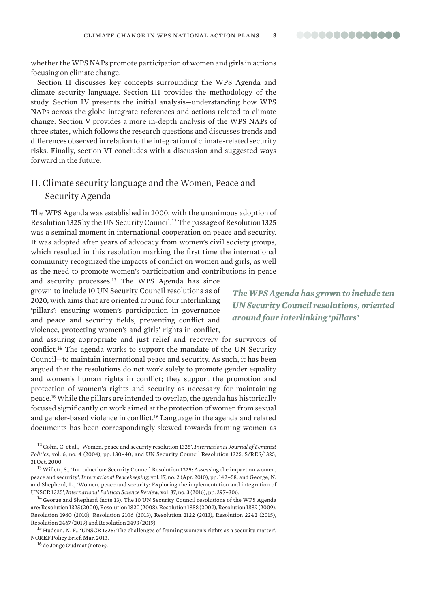whether the WPS NAPs promote participation of women and girls in actions focusing on climate change.

Section II discusses key concepts surrounding the WPS Agenda and climate security language. Section III provides the methodology of the study. Section IV presents the initial analysis—understanding how WPS NAPs across the globe integrate references and actions related to climate change. Section V provides a more in-depth analysis of the WPS NAPs of three states, which follows the research questions and discusses trends and differences observed in relation to the integration of climate-related security risks. Finally, section VI concludes with a discussion and suggested ways forward in the future.

## II. Climate security language and the Women, Peace and Security Agenda

The WPS Agenda was established in 2000, with the unanimous adoption of Resolution 1325 by the UN Security Council.<sup>12</sup> The passage of Resolution 1325 was a seminal moment in international cooperation on peace and security. It was adopted after years of advocacy from women's civil society groups, which resulted in this resolution marking the first time the international community recognized the impacts of conflict on women and girls, as well as the need to promote women's participation and contributions in peace

and security processes.<sup>13</sup> The WPS Agenda has since grown to include 10 UN Security Council resolutions as of 2020, with aims that are oriented around four interlinking 'pillars': ensuring women's participation in governance and peace and security fields, preventing conflict and violence, protecting women's and girls' rights in conflict,

and assuring appropriate and just relief and recovery for survivors of conflict.<sup>14</sup> The agenda works to support the mandate of the UN Security Council—to maintain international peace and security. As such, it has been argued that the resolutions do not work solely to promote gender equality and women's human rights in conflict; they support the promotion and protection of women's rights and security as necessary for maintaining peace.<sup>15</sup> While the pillars are intended to overlap, the agenda has historically focused significantly on work aimed at the protection of women from sexual and gender-based violence in conflict.<sup>16</sup> Language in the agenda and related documents has been correspondingly skewed towards framing women as

12Cohn, C. et al., 'Women, peace and security resolution 1325', *International Journal of Feminist Politics*, vol. 6, no. 4 (2004), pp. 130–40; and [UN Security Council Resolution 1325,](https://documents-dds-ny.un.org/doc/UNDOC/GEN/N00/720/18/PDF/N0072018.pdf?OpenElement) S/RES/1325, 31 Oct. 2000.

13Willett, S., 'Introduction: Security Council Resolution 1325: Assessing the impact on women, peace and security', *International Peacekeeping*, vol. 17, no. 2 (Apr. 2010), pp. 142–58; and George, N. and Shepherd, L., 'Women, peace and security: Exploring the implementation and integration of UNSCR 1325', *International Political Science Review*, vol. 37, no. 3 (2016), pp. 297–306.

<sup>14</sup> George and Shepherd (note 13). The 10 UN Security Council resolutions of the WPS Agenda are: Resolution 1325 (2000), Resolution 1820 (2008), Resolution 1888 (2009), Resolution 1889 (2009), Resolution 1960 (2010), Resolution 2106 (2013), Resolution 2122 (2013), Resolution 2242 (2015), Resolution 2467 (2019) and Resolution 2493 (2019).

<sup>15</sup> Hudson, N. F., '[UNSCR 1325: The challenges of framing women's rights as a security matter](https://noref.no/Publications/Themes/Gender-and-inclusivity/UNSCR-1325-the-challenges-of-framing-women-s-rights-as-a-security-matter)', NOREF Policy Brief, Mar. 2013.

<sup>16</sup> de Jonge Oudraat (note 6).

*The WPS Agenda has grown to include ten UN Security Council resolutions, oriented around four interlinking 'pillars'*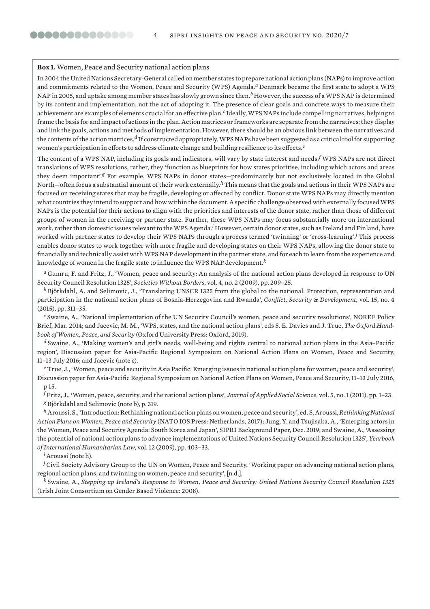#### **Box 1.** Women, Peace and Security national action plans

In 2004 the United Nations Secretary-General called on member states to prepare national action plans (NAPs) to improve action and commitments related to the Women, Peace and Security (WPS) Agenda.*<sup>a</sup>* Denmark became the first state to adopt a WPS NAP in 2005, and uptake among member states has slowly grown since then.<sup>b</sup> However, the success of a WPS NAP is determined by its content and implementation, not the act of adopting it. The presence of clear goals and concrete ways to measure their achievement are examples of elements crucial for an effective plan.*c* Ideally, WPS NAPs include compelling narratives, helping to frame the basis for and impact of actions in the plan. Action matrices or frameworks are separate from the narratives; they display and link the goals, actions and methods of implementation. However, there should be an obvious link between the narratives and the contents of the action matrices.*d* If constructed appropriately, WPS NAPs have been suggested as a critical tool for supporting women's participation in efforts to address climate change and building resilience to its effects.*<sup>e</sup>*

The content of a WPS NAP, including its goals and indicators, will vary by state interest and needs.*<sup>f</sup>* WPS NAPs are not direct translations of WPS resolutions, rather, they 'function as blueprints for how states prioritise, including which actors and areas they deem important'.*g* For example, WPS NAPs in donor states—predominantly but not exclusively located in the Global North—often focus a substantial amount of their work externally.*h* This means that the goals and actions in their WPS NAPs are focused on receiving states that may be fragile, developing or affected by conflict. Donor state WPS NAPs may directly mention what countries they intend to support and how within the document.A specific challenge observed with externally focused WPS NAPs is the potential for their actions to align with the priorities and interests of the donor state, rather than those of different groups of women in the receiving or partner state. Further, these WPS NAPs may focus substantially more on international work, rather than domestic issues relevant to the WPS Agenda.*<sup>i</sup>* However, certain donor states, such as Ireland and Finland, have worked with partner states to develop their WPS NAPs through a process termed 'twinning' or 'cross-learning'.*<sup>j</sup>* This process enables donor states to work together with more fragile and developing states on their WPS NAPs, allowing the donor state to financially and technically assist with WPS NAP development in the partner state, and for each to learn from the experience and knowledge of women in the fragile state to influence the WPS NAP development.*<sup>k</sup>*

*<sup>a</sup>* Gumru, F. and Fritz, J., '[Women, peace and security: An analysis of the national action plans developed in response to UN](https://scholarlycommons.law.case.edu/cgi/viewcontent.cgi?article=1135&context=swb)  [Security Council Resolution 1325](https://scholarlycommons.law.case.edu/cgi/viewcontent.cgi?article=1135&context=swb)', *Societies Without Borders*, vol. 4, no. 2 (2009), pp. 209–25.

*<sup>b</sup>* Björkdahl, A. and Selimovic, J., 'Translating UNSCR 1325 from the global to the national: Protection, representation and participation in the national action plans of Bosnia-Herzegovina and Rwanda', *Conflict, Security & Development*, vol. 15, no. 4 (2015), pp. 311–35.

*<sup>c</sup>* Swaine, A., '[National implementation of the UN Security Council's women, peace and security resolutions](https://noref.no/Publications/Themes/Gender-and-inclusivity/National-implementation-of-the-UN-Security-Council-s-women-peace-and-security-resolutions)', NOREF Policy Brief, Mar. 2014; and Jacevic, M. M., 'WPS, states, and the national action plans', eds S. E. Davies and J. True, *The Oxford Handbook of Women, Peace, and Security* (Oxford University Press: Oxford, 2019).

*<sup>d</sup>* Swaine, A., '[Making women's and girl's needs, well-being and rights central to national action plans in the Asia–Pacific](https://www2.unwomen.org/-/media/field%20office%20eseasia/docs/publications/2016/12/nap-aisling-final2-color-r3.pdf?la=en&vs=1940)  [region'](https://www2.unwomen.org/-/media/field%20office%20eseasia/docs/publications/2016/12/nap-aisling-final2-color-r3.pdf?la=en&vs=1940), Discussion paper for Asia-Pacific Regional Symposium on National Action Plans on Women, Peace and Security, 11–13 July 2016; and Jacevic (note c).

*<sup>e</sup>* True, J., '[Women, peace and security in Asia Pacific: Emerging issues in national action plans for women, peace and security'](https://www2.unwomen.org/-/media/field%20office%20eseasia/docs/publications/2016/12/1-nap-jt-for-online-r4.pdf?la=en&vs=2213), Discussion paper for Asia-Pacific Regional Symposium on National Action Plans on Women, Peace and Security, 11–13 July 2016, p 15.

*<sup>f</sup>* Fritz, J., 'Women, peace, security, and the national action plans', *Journal of Applied Social Science*, vol. 5, no. 1 (2011), pp. 1–23. *<sup>g</sup>* Björkdahl and Selimovic (note b), p. 319.

*<sup>h</sup>* Aroussi, S., 'Introduction: Rethinking national action plans on women, peace and security', ed. S. Aroussi, *Rethinking National Action Plans on Women, Peace and Security* (NATO IOS Press: Netherlands, 2017); Jung, Y. and Tsujisaka, A., ['Emerging actors in](https://www.sipri.org/publications/2019/sipri-background-papers/emerging-actors-women-peace-and-security-agenda-south-korea-and-japan)  [the Women, Peace and Security Agenda: South Korea and Japan'](https://www.sipri.org/publications/2019/sipri-background-papers/emerging-actors-women-peace-and-security-agenda-south-korea-and-japan), SIPRI Background Paper, Dec. 2019; and Swaine, A., 'Assessing the potential of national action plans to advance implementations of United Nations Security Council Resolution 1325', *Yearbook of International Humanitarian Law*, vol. 12 (2009), pp. 403–33.

*<sup>i</sup>* Aroussi (note h).

*<sup>j</sup>* Civil Society Advisory Group to the UN on Women, Peace and Security, '[Working paper on advancing national action plans,](https://www.peacewomen.org/sites/default/files/cso_advisory_group__naps_raps_and_twinning_0.pdf)  [regional action plans, and twinning on women, peace and security'](https://www.peacewomen.org/sites/default/files/cso_advisory_group__naps_raps_and_twinning_0.pdf), [n.d.].

*<sup>k</sup>* Swaine, A., *[Stepping up Ireland's Response to Women, Peace and Security: United Nations Security Council Resolution 1325](https://evaw-global-database.unwomen.org/en/countries/europe/ireland/2008/stepping-up-irelands-response-to-women-peace-and-security)* (Irish Joint Consortium on Gender Based Violence: 2008).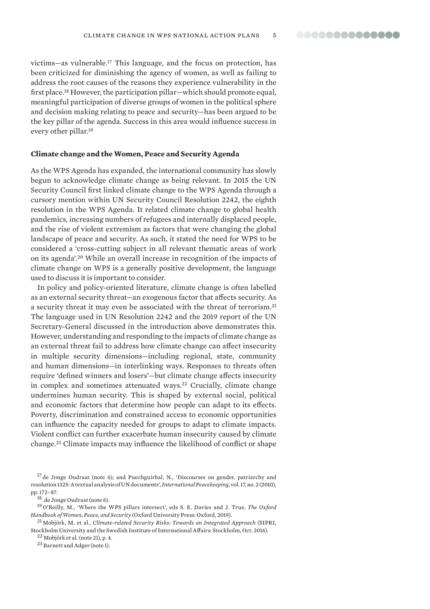victims—as vulnerable.<sup>17</sup> This language, and the focus on protection, has been criticized for diminishing the agency of women, as well as failing to address the root causes of the reasons they experience vulnerability in the first place.<sup>18</sup> However, the participation pillar—which should promote equal, meaningful participation of diverse groups of women in the political sphere and decision making relating to peace and security—has been argued to be the key pillar of the agenda. Success in this area would influence success in every other pillar.<sup>19</sup>

#### **Climate change and the Women, Peace and Security Agenda**

As the WPS Agenda has expanded, the international community has slowly begun to acknowledge climate change as being relevant. In 2015 the UN Security Council first linked climate change to the WPS Agenda through a cursory mention within UN Security Council Resolution 2242, the eighth resolution in the WPS Agenda. It related climate change to global health pandemics, increasing numbers of refugees and internally displaced people, and the rise of violent extremism as factors that were changing the global landscape of peace and security. As such, it stated the need for WPS to be considered a 'cross-cutting subject in all relevant thematic areas of work on its agenda'.<sup>20</sup> While an overall increase in recognition of the impacts of climate change on WPS is a generally positive development, the language used to discuss it is important to consider.

In policy and policy-oriented literature, climate change is often labelled as an external security threat—an exogenous factor that affects security. As a security threat it may even be associated with the threat of terrorism.<sup>21</sup> The language used in UN Resolution 2242 and the 2019 report of the UN Secretary-General discussed in the introduction above demonstrates this. However, understanding and responding to the impacts of climate change as an external threat fail to address how climate change can affect insecurity in multiple security dimensions—including regional, state, community and human dimensions—in interlinking ways. Responses to threats often require 'defined winners and losers'—but climate change affects insecurity in complex and sometimes attenuated ways.<sup>22</sup> Crucially, climate change undermines human security. This is shaped by external social, political and economic factors that determine how people can adapt to its effects. Poverty, discrimination and constrained access to economic opportunities can influence the capacity needed for groups to adapt to climate impacts. Violent conflict can further exacerbate human insecurity caused by climate change.<sup>23</sup> Climate impacts may influence the likelihood of conflict or shape

18 .de Jonge Oudraat (note 6).

<sup>19</sup> O'Reilly, M., 'Where the WPS pillars intersect', eds S. E. Davies and J. True, *The Oxford Handbook of Women, Peace, and Security* (Oxford University Press: Oxford, 2019).

<sup>21</sup> Mobjörk, M. et al., *[Climate-related Security Risks: Towards an Integrated Approach](https://www.sipri.org/publications/2016/climate-related-security-risks)* (SIPRI, Stockholm University and the Swedish Institute of International Affairs: Stockholm, Oct. 2016).

<sup>22</sup> Mobjörk et al. (note 21), p. 4.

<sup>23</sup> Barnett and Adger (note 1).

<sup>&</sup>lt;sup>17</sup> de Jonge Oudraat (note 6); and Puechguirbal, N., 'Discourses on gender, patriarchy and resolution 1325: A textual analysis of UN documents', *International Peacekeeping*, vol. 17, no. 2 (2010), pp. 172–87.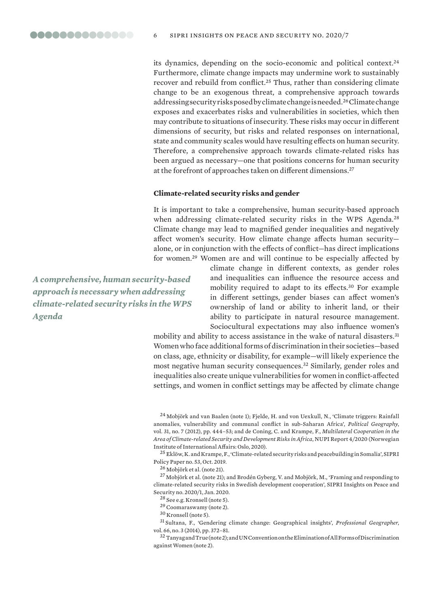its dynamics, depending on the socio-economic and political context.<sup>24</sup> Furthermore, climate change impacts may undermine work to sustainably recover and rebuild from conflict.<sup>25</sup> Thus, rather than considering climate change to be an exogenous threat, a comprehensive approach towards addressing security risks posed by climate change is needed.<sup>26</sup> Climate change exposes and exacerbates risks and vulnerabilities in societies, which then may contribute to situations of insecurity. These risks may occur in different dimensions of security, but risks and related responses on international, state and community scales would have resulting effects on human security. Therefore, a comprehensive approach towards climate-related risks has been argued as necessary—one that positions concerns for human security at the forefront of approaches taken on different dimensions.<sup>27</sup>

#### **Climate-related security risks and gender**

It is important to take a comprehensive, human security-based approach when addressing climate-related security risks in the WPS Agenda.<sup>28</sup> Climate change may lead to magnified gender inequalities and negatively affect women's security. How climate change affects human security alone, or in conjunction with the effects of conflict—has direct implications for women.<sup>29</sup> Women are and will continue to be especially affected by

*A comprehensive, human security-based approach is necessary when addressing climate-related security risks in the WPS Agenda*

climate change in different contexts, as gender roles and inequalities can influence the resource access and mobility required to adapt to its effects.<sup>30</sup> For example in different settings, gender biases can affect women's ownership of land or ability to inherit land, or their ability to participate in natural resource management. Sociocultural expectations may also influence women's

mobility and ability to access assistance in the wake of natural disasters.<sup>31</sup> Women who face additional forms of discrimination in their societies—based on class, age, ethnicity or disability, for example—will likely experience the most negative human security consequences.<sup>32</sup> Similarly, gender roles and inequalities also create unique vulnerabilities for women in conflict-affected settings, and women in conflict settings may be affected by climate change

<sup>24</sup> Mobjörk and van Baalen (note 1); Fjelde, H. and von Uexkull, N., 'Climate triggers: Rainfall anomalies, vulnerability and communal conflict in sub-Saharan Africa', *Political Geography*, vol. 31, no. 7 (2012), pp. 444–53; and de Coning, C. and Krampe, F., *[Multilateral Cooperation in the](https://reliefweb.int/sites/reliefweb.int/files/resources/NUPI_Report_4_2020_deConingKrampe_0.pdf)  [Area of Climate-related Security and Development Risks in Africa](https://reliefweb.int/sites/reliefweb.int/files/resources/NUPI_Report_4_2020_deConingKrampe_0.pdf)*, NUPI Report 4/2020 (Norwegian Institute of International Affairs: Oslo, 2020).

<sup>25</sup> Eklöw, K. and Krampe, F., ['Climate-related security risks and peacebuilding in Somalia'](https://www.sipri.org/publications/2019/sipri-policy-papers/climate-related-security-risks-and-peacebuilding-somalia), SIPRI Policy Paper no. 53, Oct. 2019.

<sup>26</sup> Mobjörk et al. (note 21).

<sup>27</sup> Mobjörk et al. (note 21); and Brodén Gyberg, V. and Mobjörk, M., 'Framing and responding to [climate-related security risks in Swedish development cooperation'](https://www.sipri.org/publications/2020/sipri-insights-peace-and-security/framing-and-responding-climate-related-security-risks-swedish-development-cooperation), SIPRI Insights on Peace and Security no. 2020/1, Jan. 2020.

<sup>28</sup> See e.g. Kronsell (note 5).

<sup>29</sup> Coomaraswamy (note 2).

<sup>30</sup> Kronsell (note 5).

<sup>31</sup> Sultana, F., 'Gendering climate change: Geographical insights', *Professional Geographer*, vol. 66, no. 3 (2014), pp. 372–81.

32 Tanyag and True (note 2); and UN Convention on the Elimination of All Forms of Discrimination against Women (note 2).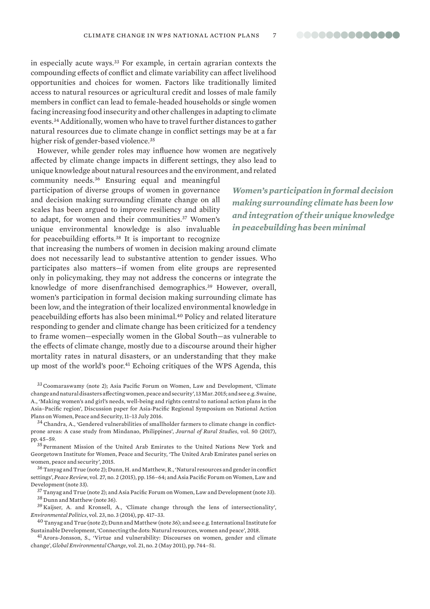in especially acute ways.<sup>33</sup> For example, in certain agrarian contexts the compounding effects of conflict and climate variability can affect livelihood opportunities and choices for women. Factors like traditionally limited access to natural resources or agricultural credit and losses of male family members in conflict can lead to female-headed households or single women facing increasing food insecurity and other challenges in adapting to climate events.<sup>34</sup> Additionally, women who have to travel further distances to gather natural resources due to climate change in conflict settings may be at a far higher risk of gender-based violence.<sup>35</sup>

However, while gender roles may influence how women are negatively affected by climate change impacts in different settings, they also lead to unique knowledge about natural resources and the environment, and related

community needs.<sup>36</sup> Ensuring equal and meaningful participation of diverse groups of women in governance and decision making surrounding climate change on all scales has been argued to improve resiliency and ability to adapt, for women and their communities.<sup>37</sup> Women's unique environmental knowledge is also invaluable for peacebuilding efforts.<sup>38</sup> It is important to recognize

that increasing the numbers of women in decision making around climate does not necessarily lead to substantive attention to gender issues. Who participates also matters—if women from elite groups are represented only in policymaking, they may not address the concerns or integrate the knowledge of more disenfranchised demographics.<sup>39</sup> However, overall, women's participation in formal decision making surrounding climate has been low, and the integration of their localized environmental knowledge in peacebuilding efforts has also been minimal.<sup>40</sup> Policy and related literature responding to gender and climate change has been criticized for a tendency to frame women—especially women in the Global South—as vulnerable to the effects of climate change, mostly due to a discourse around their higher mortality rates in natural disasters, or an understanding that they make up most of the world's poor.<sup>41</sup> Echoing critiques of the WPS Agenda, this

33Coomaraswamy (note 2); Asia Pacific Forum on Women, Law and Development, '[Climate](http://apwld.org/wp-content/uploads/2015/03/Climate-change-Natural-disasters-Conflict.pdf)  [change and natural disasters affecting women, peace and security](http://apwld.org/wp-content/uploads/2015/03/Climate-change-Natural-disasters-Conflict.pdf)', 13 Mar. 2015; and see e.g. Swaine, A., '[Making women's and girl's needs, well-being and rights central to national action plans in the](https://www2.unwomen.org/-/media/field%20office%20eseasia/docs/publications/2016/12/nap-aisling-final2-color-r3.pdf?la=en&vs=1940)  [Asia–Pacific region'](https://www2.unwomen.org/-/media/field%20office%20eseasia/docs/publications/2016/12/nap-aisling-final2-color-r3.pdf?la=en&vs=1940), Discussion paper for Asia-Pacific Regional Symposium on National Action Plans on Women, Peace and Security, 11–13 July 2016.

 $34$  Chandra, A., 'Gendered vulnerabilities of smallholder farmers to climate change in conflictprone areas: A case study from Mindanao, Philippines', *Journal of Rural Studies*, vol. 50 (2017), pp. 45–59.

<sup>35</sup> Permanent Mission of the United Arab Emirates to the United Nations New York and Georgetown Institute for Women, Peace and Security, '[The United Arab Emirates panel series on](https://giwps.georgetown.edu/wp-content/uploads/2018/06/UAE_GIWPS_Panel_Series.pdf)  [women, peace and security'](https://giwps.georgetown.edu/wp-content/uploads/2018/06/UAE_GIWPS_Panel_Series.pdf), 2015.

<sup>36</sup> Tanyag and True (note 2); Dunn, H. and Matthew, R., 'Natural resources and gender in conflict settings', *Peace Review*, vol. 27, no. 2 (2015), pp. 156–64; and Asia Pacific Forum on Women, Law and Development (note 33).

 $37$  Tanyag and True (note 2); and Asia Pacific Forum on Women, Law and Development (note 33). <sup>38</sup> Dunn and Matthew (note 36).

<sup>39</sup> Kaijser, A. and Kronsell, A., 'Climate change through the lens of intersectionality', *Environmental Politics*, vol. 23, no. 3 (2014), pp. 417–33.

 $^{40}$  Tanyag and True (note 2); Dunn and Matthew (note 36); and see e.g. International Institute for Sustainable Development, '[Connecting the dots: Natural resources, women and peace'](https://www.iisd.org/library/connecting-dots-natural-resources-women-and-peace), 2018.

41Arora-Jonsson, S., 'Virtue and vulnerability: Discourses on women, gender and climate change', *Global Environmental Change*, vol. 21, no. 2 (May 2011), pp. 744–51.

*Women's participation in formal decision making surrounding climate has been low and integration of their unique knowledge in peacebuilding has been minimal*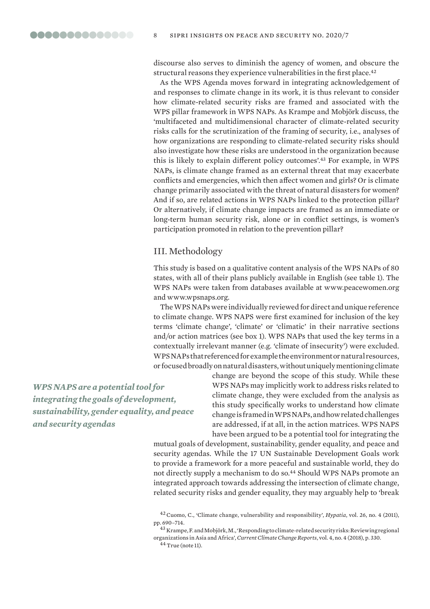discourse also serves to diminish the agency of women, and obscure the structural reasons they experience vulnerabilities in the first place.<sup>42</sup>

As the WPS Agenda moves forward in integrating acknowledgement of and responses to climate change in its work, it is thus relevant to consider how climate-related security risks are framed and associated with the WPS pillar framework in WPS NAPs. As Krampe and Mobjörk discuss, the 'multifaceted and multidimensional character of climate-related security risks calls for the scrutinization of the framing of security, i.e., analyses of how organizations are responding to climate-related security risks should also investigate how these risks are understood in the organization because this is likely to explain different policy outcomes'.<sup>43</sup> For example, in WPS NAPs, is climate change framed as an external threat that may exacerbate conflicts and emergencies, which then affect women and girls? Or is climate change primarily associated with the threat of natural disasters for women? And if so, are related actions in WPS NAPs linked to the protection pillar? Or alternatively, if climate change impacts are framed as an immediate or long-term human security risk, alone or in conflict settings, is women's participation promoted in relation to the prevention pillar?

## III. Methodology

This study is based on a qualitative content analysis of the WPS NAPs of 80 states, with all of their plans publicly available in English (see table 1). The WPS NAPs were taken from databases available at [www.peacewomen.org](http://www.peacewomen.org) and www[.wpsnaps.org.](https://www.wpsnaps.org/)

The WPS NAPs were individually reviewed for direct and unique reference to climate change. WPS NAPS were first examined for inclusion of the key terms 'climate change', 'climate' or 'climatic' in their narrative sections and/or action matrices (see box 1). WPS NAPs that used the key terms in a contextually irrelevant manner (e.g. 'climate of insecurity') were excluded. WPS NAPs that referenced for example the environment or natural resources, or focused broadly on natural disasters, without uniquely mentioning climate

*WPS NAPS are a potential tool for integrating the goals of development, sustainability, gender equality, and peace and security agendas*

change are beyond the scope of this study. While these WPS NAPs may implicitly work to address risks related to climate change, they were excluded from the analysis as this study specifically works to understand how climate change is framed in WPS NAPs, and how related challenges are addressed, if at all, in the action matrices. WPS NAPS have been argued to be a potential tool for integrating the

mutual goals of development, sustainability, gender equality, and peace and security agendas. While the 17 UN Sustainable Development Goals work to provide a framework for a more peaceful and sustainable world, they do not directly supply a mechanism to do so.<sup>44</sup> Should WPS NAPs promote an integrated approach towards addressing the intersection of climate change, related security risks and gender equality, they may arguably help to 'break

 $44$  True (note 11).

<sup>42</sup>Cuomo, C., 'Climate change, vulnerability and responsibility', *Hypatia*, vol. 26, no. 4 (2011), pp. 690–714.

<sup>43</sup> Krampe, F. and Mobjörk, M., 'Responding to climate-related security risks: Reviewing regional organizations in Asia and Africa', *Current Climate Change Reports*, vol. 4, no. 4 (2018), p. 330.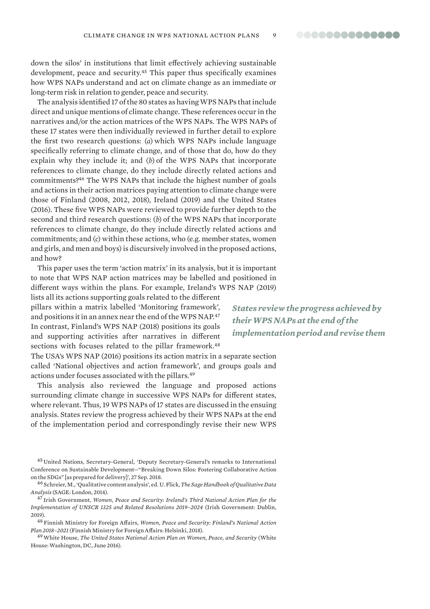down the silos' in institutions that limit effectively achieving sustainable development, peace and security.<sup>45</sup> This paper thus specifically examines how WPS NAPs understand and act on climate change as an immediate or long-term risk in relation to gender, peace and security.

The analysis identified 17 of the 80 states as having WPS NAPs that include direct and unique mentions of climate change. These references occur in the narratives and/or the action matrices of the WPS NAPs. The WPS NAPs of these 17 states were then individually reviewed in further detail to explore the first two research questions: (*a*) which WPS NAPs include language specifically referring to climate change, and of those that do, how do they explain why they include it; and (*b*) of the WPS NAPs that incorporate references to climate change, do they include directly related actions and commitments?<sup>46</sup> The WPS NAPs that include the highest number of goals and actions in their action matrices paying attention to climate change were those of Finland (2008, 2012, 2018), Ireland (2019) and the United States (2016). These five WPS NAPs were reviewed to provide further depth to the second and third research questions: (*b*) of the WPS NAPs that incorporate references to climate change, do they include directly related actions and commitments; and (*c*) within these actions, who (e.g. member states, women and girls, and men and boys) is discursively involved in the proposed actions, and how?

This paper uses the term 'action matrix' in its analysis, but it is important to note that WPS NAP action matrices may be labelled and positioned in different ways within the plans. For example, Ireland's WPS NAP (2019)

lists all its actions supporting goals related to the different pillars within a matrix labelled 'Monitoring framework', and positions it in an annex near the end of the WPS NAP.<sup>47</sup> In contrast, Finland's WPS NAP (2018) positions its goals and supporting activities after narratives in different sections with focuses related to the pillar framework.<sup>48</sup>

The USA's WPS NAP (2016) positions its action matrix in a separate section called 'National objectives and action framework', and groups goals and actions under focuses associated with the pillars.<sup>49</sup>

This analysis also reviewed the language and proposed actions surrounding climate change in successive WPS NAPs for different states, where relevant. Thus, 19 WPS NAPs of 17 states are discussed in the ensuing analysis. States review the progress achieved by their WPS NAPs at the end of the implementation period and correspondingly revise their new WPS

<sup>45</sup> United Nations, Secretary-General, '[Deputy Secretary-General's remarks to International](https://www.un.org/sg/en/content/dsg/statement/2018-09-27/deputy-secretary-generals-remarks-international-conference)  [Conference on Sustainable Development—"Breaking Down Silos: Fostering Collaborative Action](https://www.un.org/sg/en/content/dsg/statement/2018-09-27/deputy-secretary-generals-remarks-international-conference)  [on the SDGs" \[as prepared for delivery\]'](https://www.un.org/sg/en/content/dsg/statement/2018-09-27/deputy-secretary-generals-remarks-international-conference), 27 Sep. 2018.

<sup>46</sup> Schreier, M., 'Qualitative content analysis', ed. U. Flick, *The Sage Handbook of Qualitative Data Analysis* (SAGE: London, 2014).

<sup>47</sup> Irish Government, *[Women, Peace and Security: Ireland's Third National Action Plan for the](https://www.peacewomen.org/sites/default/files/Ireland%20NAP%202019.pdf)  [Implementation of UNSCR 1325 and Related Resolutions 2019–2024](https://www.peacewomen.org/sites/default/files/Ireland%20NAP%202019.pdf)* (Irish Government: Dublin, 2019).

<sup>48</sup> Finnish Ministry for Foreign Affairs, *[Women, Peace and Security: Finland's National Action](https://www.peacewomen.org/sites/default/files/03_18_Women_Peace_Security%20(1)%20(2).pdf)  [Plan 2018–2021](https://www.peacewomen.org/sites/default/files/03_18_Women_Peace_Security%20(1)%20(2).pdf)* (Finnish Ministry for Foreign Affairs: Helsinki, 2018).

49White House, *[The United States National Action Plan on Women, Peace, and Security](https://www.peacewomen.org/sites/default/files/women-national-action-plan.pdf)* (White House: Washington, DC, June 2016).

*States review the progress achieved by their WPS NAPs at the end of the implementation period and revise them*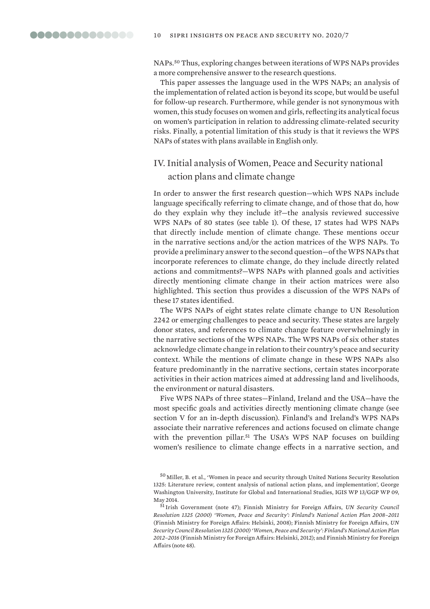NAPs.<sup>50</sup> Thus, exploring changes between iterations of WPS NAPs provides a more comprehensive answer to the research questions.

This paper assesses the language used in the WPS NAPs; an analysis of the implementation of related action is beyond its scope, but would be useful for follow-up research. Furthermore, while gender is not synonymous with women, this study focuses on women and girls, reflecting its analytical focus on women's participation in relation to addressing climate-related security risks. Finally, a potential limitation of this study is that it reviews the WPS NAPs of states with plans available in English only.

## IV. Initial analysis of Women, Peace and Security national action plans and climate change

In order to answer the first research question—which WPS NAPs include language specifically referring to climate change, and of those that do, how do they explain why they include it?—the analysis reviewed successive WPS NAPs of 80 states (see table 1). Of these, 17 states had WPS NAPs that directly include mention of climate change. These mentions occur in the narrative sections and/or the action matrices of the WPS NAPs. To provide a preliminary answer to the second question—of the WPS NAPs that incorporate references to climate change, do they include directly related actions and commitments?—WPS NAPs with planned goals and activities directly mentioning climate change in their action matrices were also highlighted. This section thus provides a discussion of the WPS NAPs of these 17 states identified.

The WPS NAPs of eight states relate climate change to UN Resolution 2242 or emerging challenges to peace and security. These states are largely donor states, and references to climate change feature overwhelmingly in the narrative sections of the WPS NAPs. The WPS NAPs of six other states acknowledge climate change in relation to their country's peace and security context. While the mentions of climate change in these WPS NAPs also feature predominantly in the narrative sections, certain states incorporate activities in their action matrices aimed at addressing land and livelihoods, the environment or natural disasters.

Five WPS NAPs of three states—Finland, Ireland and the USA—have the most specific goals and activities directly mentioning climate change (see section V for an in-depth discussion). Finland's and Ireland's WPS NAPs associate their narrative references and actions focused on climate change with the prevention pillar.<sup>51</sup> The USA's WPS NAP focuses on building women's resilience to climate change effects in a narrative section, and

<sup>50</sup> Miller, B. et al., '[Women in peace and security through United Nations Security Resolution](https://www.peacewomen.org/assets/file/NationalActionPlans/miladpournikanalysisdocs/igis_womeninpeaceandsecuritythroughunsr1325_millerpournikswaine_2014.pdf)  [1325: Literature review, content analysis of national action plans, and implementation](https://www.peacewomen.org/assets/file/NationalActionPlans/miladpournikanalysisdocs/igis_womeninpeaceandsecuritythroughunsr1325_millerpournikswaine_2014.pdf)', George Washington University, Institute for Global and International Studies, IGIS WP 13/GGP WP 09, May 2014.

<sup>51</sup> Irish Government (note 47); Finnish Ministry for Foreign Affairs, *[UN Security Council](https://www.yumpu.com/en/document/read/30220751/finlands-national-action-plan-2008-2011)  [Resolution 1325 \(2000\) 'Women, Peace and Security': Finland's National Action Plan 2008–2011](https://www.yumpu.com/en/document/read/30220751/finlands-national-action-plan-2008-2011)*  (Finnish Ministry for Foreign Affairs: Helsinki, 2008); Finnish Ministry for Foreign Affairs, *[UN](https://www.peacewomen.org/sites/default/files/finland_nap_2012.pdf)  [Security Council Resolution 1325 \(2000\) 'Women, Peace and Security': Finland's National Action Plan](https://www.peacewomen.org/sites/default/files/finland_nap_2012.pdf)  [2012–2016](https://www.peacewomen.org/sites/default/files/finland_nap_2012.pdf)* (Finnish Ministry for Foreign Affairs: Helsinki, 2012); and Finnish Ministry for Foreign Affairs (note 48).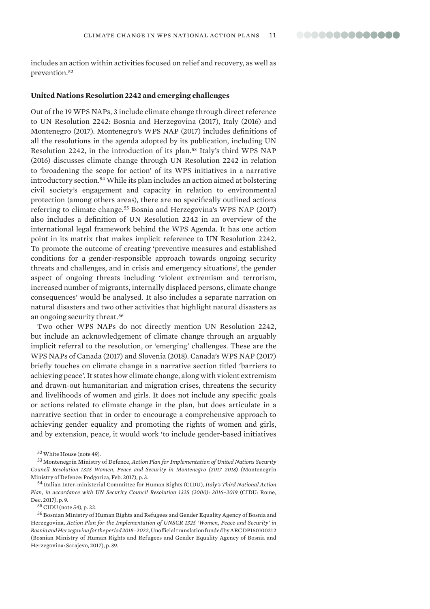includes an action within activities focused on relief and recovery, as well as prevention.<sup>52</sup>

#### **United Nations Resolution 2242 and emerging challenges**

Out of the 19 WPS NAPs, 3 include climate change through direct reference to UN Resolution 2242: Bosnia and Herzegovina (2017), Italy (2016) and Montenegro (2017). Montenegro's WPS NAP (2017) includes definitions of all the resolutions in the agenda adopted by its publication, including UN Resolution 2242, in the introduction of its plan.<sup>53</sup> Italy's third WPS NAP (2016) discusses climate change through UN Resolution 2242 in relation to 'broadening the scope for action' of its WPS initiatives in a narrative introductory section.<sup>54</sup> While its plan includes an action aimed at bolstering civil society's engagement and capacity in relation to environmental protection (among others areas), there are no specifically outlined actions referring to climate change.<sup>55</sup> Bosnia and Herzegovina's WPS NAP (2017) also includes a definition of UN Resolution 2242 in an overview of the international legal framework behind the WPS Agenda. It has one action point in its matrix that makes implicit reference to UN Resolution 2242. To promote the outcome of creating 'preventive measures and established conditions for a gender-responsible approach towards ongoing security threats and challenges, and in crisis and emergency situations', the gender aspect of ongoing threats including 'violent extremism and terrorism, increased number of migrants, internally displaced persons, climate change consequences' would be analysed. It also includes a separate narration on natural disasters and two other activities that highlight natural disasters as an ongoing security threat.<sup>56</sup>

Two other WPS NAPs do not directly mention UN Resolution 2242, but include an acknowledgement of climate change through an arguably implicit referral to the resolution, or 'emerging' challenges. These are the WPS NAPs of Canada (2017) and Slovenia (2018). Canada's WPS NAP (2017) briefly touches on climate change in a narrative section titled 'barriers to achieving peace'. It states how climate change, along with violent extremism and drawn-out humanitarian and migration crises, threatens the security and livelihoods of women and girls. It does not include any specific goals or actions related to climate change in the plan, but does articulate in a narrative section that in order to encourage a comprehensive approach to achieving gender equality and promoting the rights of women and girls, and by extension, peace, it would work 'to include gender-based initiatives

 $55$  CIDU (note 54), p. 22.

<sup>56</sup> Bosnian Ministry of Human Rights and Refugees and Gender Equality Agency of Bosnia and Herzegovina, *[Action Plan for the Implementation of UNSCR 1325 'Women, Peace and Security' in](https://www.wpsnaps.org/app/uploads/2019/09/Bosnia-and-Herzegovina-NAP-3-2018-2022-English-translation-DP160100212-.pdf)  [Bosnia and Herzegovina for the period 2018–2022](https://www.wpsnaps.org/app/uploads/2019/09/Bosnia-and-Herzegovina-NAP-3-2018-2022-English-translation-DP160100212-.pdf)*, Unofficial translation funded by ARC DP160100212 (Bosnian Ministry of Human Rights and Refugees and Gender Equality Agency of Bosnia and Herzegovina: Sarajevo, 2017), p. 39.

<sup>52</sup>White House (note 49).

<sup>53</sup> Montenegrin Ministry of Defence, *[Action Plan for Implementation of United Nations Security](http://peacewomen.org/sites/default/files/Action%20plan%20(1).pdf)  [Council Resolution 1325 Women, Peace and Security in Montenegro \(2017–2018\)](http://peacewomen.org/sites/default/files/Action%20plan%20(1).pdf)* (Montenegrin Ministry of Defence: Podgorica, Feb. 2017), p. 3.

<sup>54</sup> Italian Inter-ministerial Committee for Human Rights (CIDU), *[Italy's Third National Action](https://tbinternet.ohchr.org/Treaties/CEDAW/Shared%20Documents/ITA/INT_CEDAW_ARL_ITA_27451_E.pdf)  [Plan, in accordance with UN Security Council Resolution 1325 \(2000\): 2016–2019](https://tbinternet.ohchr.org/Treaties/CEDAW/Shared%20Documents/ITA/INT_CEDAW_ARL_ITA_27451_E.pdf)* (CIDU: Rome, Dec. 2017), p. 9.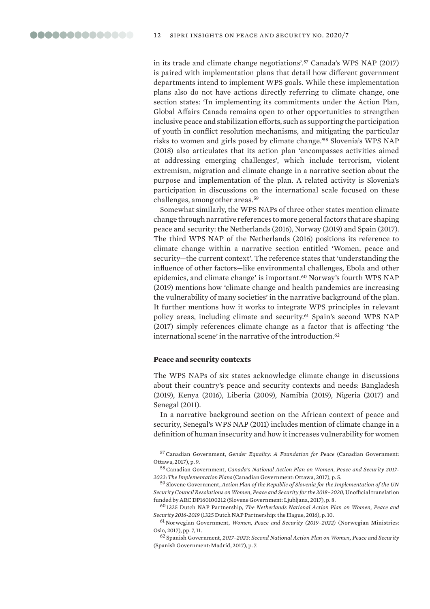in its trade and climate change negotiations'.<sup>57</sup> Canada's WPS NAP (2017) is paired with implementation plans that detail how different government departments intend to implement WPS goals. While these implementation plans also do not have actions directly referring to climate change, one section states: 'In implementing its commitments under the Action Plan, Global Affairs Canada remains open to other opportunities to strengthen inclusive peace and stabilization efforts, such as supporting the participation of youth in conflict resolution mechanisms, and mitigating the particular risks to women and girls posed by climate change.'<sup>58</sup> Slovenia's WPS NAP (2018) also articulates that its action plan 'encompasses activities aimed at addressing emerging challenges', which include terrorism, violent extremism, migration and climate change in a narrative section about the purpose and implementation of the plan. A related activity is Slovenia's participation in discussions on the international scale focused on these challenges, among other areas.<sup>59</sup>

Somewhat similarly, the WPS NAPs of three other states mention climate change through narrative references to more general factors that are shaping peace and security: the Netherlands (2016), Norway (2019) and Spain (2017). The third WPS NAP of the Netherlands (2016) positions its reference to climate change within a narrative section entitled 'Women, peace and security—the current context'. The reference states that 'understanding the influence of other factors—like environmental challenges, Ebola and other epidemics, and climate change' is important.<sup>60</sup> Norway's fourth WPS NAP (2019) mentions how 'climate change and health pandemics are increasing the vulnerability of many societies' in the narrative background of the plan. It further mentions how it works to integrate WPS principles in relevant policy areas, including climate and security.<sup>61</sup> Spain's second WPS NAP (2017) simply references climate change as a factor that is affecting 'the international scene' in the narrative of the introduction.<sup>62</sup>

#### **Peace and security contexts**

The WPS NAPs of six states acknowledge climate change in discussions about their country's peace and security contexts and needs: Bangladesh (2019), Kenya (2016), Liberia (2009), Namibia (2019), Nigeria (2017) and Senegal (2011).

In a narrative background section on the African context of peace and security, Senegal's WPS NAP (2011) includes mention of climate change in a definition of human insecurity and how it increases vulnerability for women

57Canadian Government, *[Gender Equality: A Foundation for Peace](http://peacewomen.org/sites/default/files/cnap-eng.pdf)* (Canadian Government: Ottawa, 2017), p. 9.

58Canadian Government, *[Canada's National Action Plan on Women, Peace and Security 2017-](http://peacewomen.org/sites/default/files/cnap_implementation_plans_eng.pdf) [2022: The Implementation Plans](http://peacewomen.org/sites/default/files/cnap_implementation_plans_eng.pdf)* (Canadian Government: Ottawa, 2017), p. 5.

<sup>59</sup> Slovene Government, *[Action Plan of the Republic of Slovenia for the Implementation of the UN](https://www.wpsnaps.org/app/uploads/2019/09/Slovenia-NAP-2-2018-2020-English-translation-DP160100212.pdf)  [Security Council Resolutions on Women, Peace and Security for the 2018–2020](https://www.wpsnaps.org/app/uploads/2019/09/Slovenia-NAP-2-2018-2020-English-translation-DP160100212.pdf)*, Unofficial translation funded by ARC DP160100212 (Slovene Government: Ljubljana, 2017), p. 8.

<sup>60</sup> 1325 Dutch NAP Partnership, *[The Netherlands National Action Plan on Women, Peace and](https://www.peacewomen.org/sites/default/files/Dutch_NAP_2016-2019.pdf)  [Security 2016-2019](https://www.peacewomen.org/sites/default/files/Dutch_NAP_2016-2019.pdf)* (1325 Dutch NAP Partnership: the Hague, 2016), p. 10.

<sup>61</sup> Norwegian Government, *[Women, Peace and Security \(2019–2022\)](https://www.regjeringen.no/globalassets/departementene/ud/dokumenter/planer/actionplan_wps2019.pdf)* (Norwegian Ministries: Oslo, 2017), pp. 7, 11.

<sup>62</sup> Spanish Government, *[2017–2023: Second National Action Plan on Women, Peace and Security](http://www.exteriores.gob.es/Portal/es/SalaDePrensa/Multimedia/Publicaciones/Documents/2017_II%20PLAN%20NACIONAL%20ENG%20web.pdf)* (Spanish Government: Madrid, 2017), p. 7.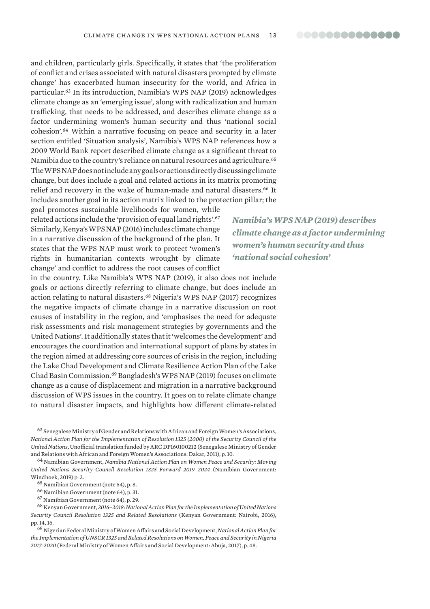and children, particularly girls. Specifically, it states that 'the proliferation of conflict and crises associated with natural disasters prompted by climate change' has exacerbated human insecurity for the world, and Africa in particular.<sup>63</sup> In its introduction, Namibia's WPS NAP (2019) acknowledges climate change as an 'emerging issue', along with radicalization and human trafficking, that needs to be addressed, and describes climate change as a factor undermining women's human security and thus 'national social cohesion'.<sup>64</sup> Within a narrative focusing on peace and security in a later section entitled 'Situation analysis', Namibia's WPS NAP references how a 2009 World Bank report described climate change as a significant threat to Namibia due to the country's reliance on natural resources and agriculture.<sup>65</sup> The WPS NAP does not include any goals or actions directly discussing climate change, but does include a goal and related actions in its matrix promoting relief and recovery in the wake of human-made and natural disasters.<sup>66</sup> It includes another goal in its action matrix linked to the protection pillar; the

goal promotes sustainable livelihoods for women, while related actions include the 'provision of equal land rights'.<sup>67</sup> Similarly, Kenya's WPS NAP (2016) includes climate change in a narrative discussion of the background of the plan. It states that the WPS NAP must work to protect 'women's rights in humanitarian contexts wrought by climate change' and conflict to address the root causes of conflict

in the country. Like Namibia's WPS NAP (2019), it also does not include goals or actions directly referring to climate change, but does include an action relating to natural disasters.<sup>68</sup> Nigeria's WPS NAP (2017) recognizes the negative impacts of climate change in a narrative discussion on root causes of instability in the region, and 'emphasises the need for adequate risk assessments and risk management strategies by governments and the United Nations'. It additionally states that it 'welcomes the development' and encourages the coordination and international support of plans by states in the region aimed at addressing core sources of crisis in the region, including the Lake Chad Development and Climate Resilience Action Plan of the Lake Chad Basin Commission.<sup>69</sup> Bangladesh's WPS NAP (2019) focuses on climate change as a cause of displacement and migration in a narrative background discussion of WPS issues in the country. It goes on to relate climate change to natural disaster impacts, and highlights how different climate-related

<sup>63</sup> Senegalese Ministry of Gender and Relations with African and Foreign Women's Associations, *[National Action Plan for the Implementation of Resolution 1325 \(2000\) of the Security Council of the](https://www.wpsnaps.org/app/uploads/2019/09/Senegal-NAP-2011-English-translation-DP160100212.pdf)  [United Nations](https://www.wpsnaps.org/app/uploads/2019/09/Senegal-NAP-2011-English-translation-DP160100212.pdf)*, Unofficial translation funded by ARC DP160100212 (Senegalese Ministry of Gender and Relations with African and Foreign Women's Associations: Dakar, 2011), p. 10.

<sup>64</sup> Namibian Government, *[Namibia National Action Plan on Women Peace and Security: Moving](https://www.peacewomen.org/sites/default/files/Namibia%20NAP%20(2019-2024).pdf)  [United Nations Security Council Resolution 1325 Forward 2019–2024](https://www.peacewomen.org/sites/default/files/Namibia%20NAP%20(2019-2024).pdf)* (Namibian Government: Windhoek, 2019) p. 2.

<sup>66</sup> Namibian Government (note 64), p. 31.

<sup>68</sup> Kenyan Government, *[2016–2018: National Action Plan for the Implementation of United Nations](http://peacewomen.org/sites/default/files/Kenya%20NAP-with-cover-final.pdf)  [Security Council Resolution 1325 and Related Resolutions](http://peacewomen.org/sites/default/files/Kenya%20NAP-with-cover-final.pdf)* (Kenyan Government: Nairobi, 2016), pp. 14, 16.

<sup>69</sup> Nigerian Federal Ministry of Women Affairs and Social Development, *[National Action Plan for](https://www.peacewomen.org/sites/default/files/NAPNigeria.pdf)  [the Implementation of UNSCR 1325 and Related Resolutions on Women, Peace and Security in Nigeria](https://www.peacewomen.org/sites/default/files/NAPNigeria.pdf)  [2017-2020](https://www.peacewomen.org/sites/default/files/NAPNigeria.pdf)* (Federal Ministry of Women Affairs and Social Development: Abuja, 2017), p. 48.

*Namibia's WPS NAP (2019) describes climate change as a factor undermining women's human security and thus 'national social cohesion'*

<sup>65</sup> Namibian Government (note 64), p. 8.

<sup>67</sup> Namibian Government (note 64), p. 29.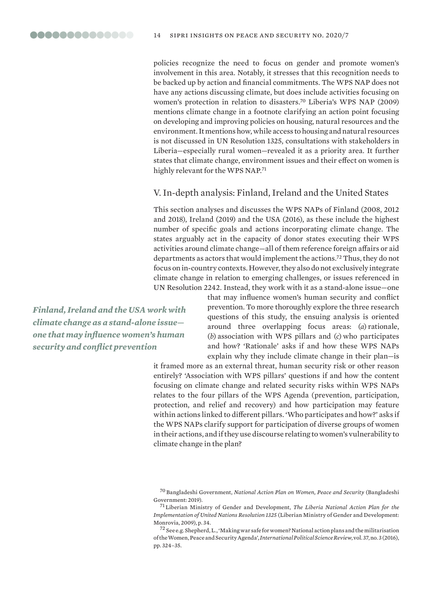policies recognize the need to focus on gender and promote women's involvement in this area. Notably, it stresses that this recognition needs to be backed up by action and financial commitments. The WPS NAP does not have any actions discussing climate, but does include activities focusing on women's protection in relation to disasters.<sup>70</sup> Liberia's WPS NAP (2009) mentions climate change in a footnote clarifying an action point focusing on developing and improving policies on housing, natural resources and the environment. It mentions how, while access to housing and natural resources is not discussed in UN Resolution 1325, consultations with stakeholders in Liberia—especially rural women—revealed it as a priority area. It further states that climate change, environment issues and their effect on women is highly relevant for the WPS NAP.<sup>71</sup>

## V. In-depth analysis: Finland, Ireland and the United States

This section analyses and discusses the WPS NAPs of Finland (2008, 2012 and 2018), Ireland (2019) and the USA (2016), as these include the highest number of specific goals and actions incorporating climate change. The states arguably act in the capacity of donor states executing their WPS activities around climate change—all of them reference foreign affairs or aid departments as actors that would implement the actions.<sup>72</sup> Thus, they do not focus on in-country contexts. However, they also do not exclusively integrate climate change in relation to emerging challenges, or issues referenced in UN Resolution 2242. Instead, they work with it as a stand-alone issue—one

*Finland, Ireland and the USA work with climate change as a stand-alone issue one that may influence women's human security and conflict prevention*

that may influence women's human security and conflict prevention. To more thoroughly explore the three research questions of this study, the ensuing analysis is oriented around three overlapping focus areas: (*a*) rationale, (*b*) association with WPS pillars and (*c*) who participates and how? 'Rationale' asks if and how these WPS NAPs explain why they include climate change in their plan—is

it framed more as an external threat, human security risk or other reason entirely? 'Association with WPS pillars' questions if and how the content focusing on climate change and related security risks within WPS NAPs relates to the four pillars of the WPS Agenda (prevention, participation, protection, and relief and recovery) and how participation may feature within actions linked to different pillars. 'Who participates and how?' asks if the WPS NAPs clarify support for participation of diverse groups of women in their actions, and if they use discourse relating to women's vulnerability to climate change in the plan?

<sup>70</sup> Bangladeshi Government, *[National Action Plan on Women, Peace and Security](https://www.peacewomen.org/sites/default/files/Bangladesh%20NAP%20(2019-2022).pdf)* (Bangladeshi Government: 2019).

<sup>71</sup> Liberian Ministry of Gender and Development, *[The Liberia National Action Plan for the](http://www.peacewomen.org/assets/file/NationalActionPlans/liberia_nationalactionplanmarch2009.pdf)  [Implementation of United Nations Resolution 1325](http://www.peacewomen.org/assets/file/NationalActionPlans/liberia_nationalactionplanmarch2009.pdf)* (Liberian Ministry of Gender and Development: Monrovia, 2009), p. 34.

<sup>72</sup> See e.g. Shepherd, L., 'Making war safe for women? National action plans and the militarisation of the Women, Peace and Security Agenda', *International Political Science Review*, vol. 37, no. 3 (2016), pp. 324–35.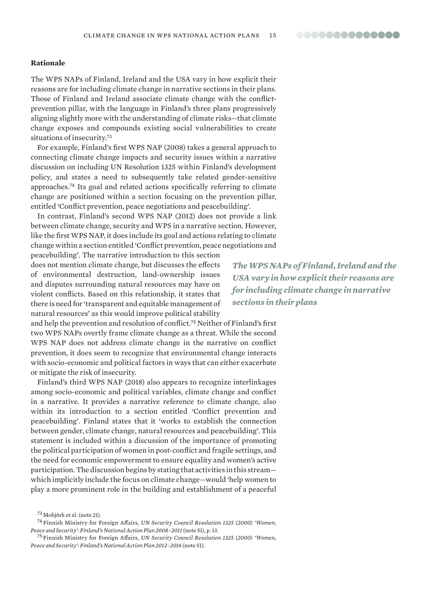#### **Rationale**

The WPS NAPs of Finland, Ireland and the USA vary in how explicit their reasons are for including climate change in narrative sections in their plans. Those of Finland and Ireland associate climate change with the conflictprevention pillar, with the language in Finland's three plans progressively aligning slightly more with the understanding of climate risks—that climate change exposes and compounds existing social vulnerabilities to create situations of insecurity.<sup>73</sup>

For example, Finland's first WPS NAP (2008) takes a general approach to connecting climate change impacts and security issues within a narrative discussion on including UN Resolution 1325 within Finland's development policy, and states a need to subsequently take related gender-sensitive approaches.<sup>74</sup> Its goal and related actions specifically referring to climate change are positioned within a section focusing on the prevention pillar, entitled 'Conflict prevention, peace negotiations and peacebuilding'.

In contrast, Finland's second WPS NAP (2012) does not provide a link between climate change, security and WPS in a narrative section. However, like the first WPS NAP, it does include its goal and actions relating to climate change within a section entitled 'Conflict prevention, peace negotiations and

peacebuilding'. The narrative introduction to this section does not mention climate change, but discusses the effects of environmental destruction, land-ownership issues and disputes surrounding natural resources may have on violent conflicts. Based on this relationship, it states that there is need for 'transparent and equitable management of natural resources' as this would improve political stability

and help the prevention and resolution of conflict.<sup>75</sup> Neither of Finland's first two WPS NAPs overtly frame climate change as a threat. While the second WPS NAP does not address climate change in the narrative on conflict prevention, it does seem to recognize that environmental change interacts with socio-economic and political factors in ways that can either exacerbate or mitigate the risk of insecurity.

Finland's third WPS NAP (2018) also appears to recognize interlinkages among socio-economic and political variables, climate change and conflict in a narrative. It provides a narrative reference to climate change, also within its introduction to a section entitled 'Conflict prevention and peacebuilding'. Finland states that it 'works to establish the connection between gender, climate change, natural resources and peacebuilding'. This statement is included within a discussion of the importance of promoting the political participation of women in post-conflict and fragile settings, and the need for economic empowerment to ensure equality and women's active participation. The discussion begins by stating that activities in this stream which implicitly include the focus on climate change—would 'help women to play a more prominent role in the building and establishment of a peaceful

*The WPS NAPs of Finland, Ireland and the USA vary in how explicit their reasons are for including climate change in narrative sections in their plans*

<sup>73</sup> Mobjörk et al. (note 21).

<sup>74</sup> Finnish Ministry for Foreign Affairs, *UN Security Council Resolution 1325 (2000) 'Women, Peace and Security': Finland's National Action Plan 2008–2011* (note 51), p. 13.

<sup>75</sup> Finnish Ministry for Foreign Affairs, *UN Security Council Resolution 1325 (2000) 'Women, Peace and Security': Finland's National Action Plan 2012–2016* (note 51).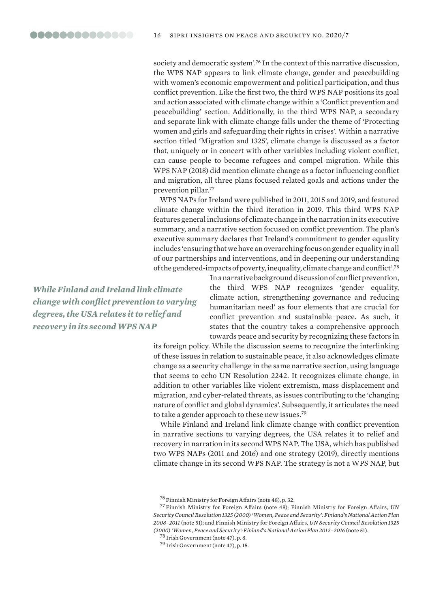society and democratic system'.<sup>76</sup> In the context of this narrative discussion, the WPS NAP appears to link climate change, gender and peacebuilding with women's economic empowerment and political participation, and thus conflict prevention. Like the first two, the third WPS NAP positions its goal and action associated with climate change within a 'Conflict prevention and peacebuilding' section. Additionally, in the third WPS NAP, a secondary and separate link with climate change falls under the theme of 'Protecting women and girls and safeguarding their rights in crises'. Within a narrative section titled 'Migration and 1325', climate change is discussed as a factor that, uniquely or in concert with other variables including violent conflict, can cause people to become refugees and compel migration. While this WPS NAP (2018) did mention climate change as a factor influencing conflict and migration, all three plans focused related goals and actions under the prevention pillar.<sup>77</sup>

WPS NAPs for Ireland were published in 2011, 2015 and 2019, and featured climate change within the third iteration in 2019. This third WPS NAP features general inclusions of climate change in the narration in its executive summary, and a narrative section focused on conflict prevention. The plan's executive summary declares that Ireland's commitment to gender equality includes 'ensuring that we have an overarching focus on gender equality in all of our partnerships and interventions, and in deepening our understanding of the gendered-impacts of poverty, inequality, climate change and conflict'.<sup>78</sup>

*While Finland and Ireland link climate change with conflict prevention to varying degrees, the USA relates it to relief and recovery in its second WPS NAP*

In a narrative background discussion of conflict prevention, the third WPS NAP recognizes 'gender equality, climate action, strengthening governance and reducing humanitarian need' as four elements that are crucial for conflict prevention and sustainable peace. As such, it states that the country takes a comprehensive approach towards peace and security by recognizing these factors in

its foreign policy. While the discussion seems to recognize the interlinking of these issues in relation to sustainable peace, it also acknowledges climate change as a security challenge in the same narrative section, using language that seems to echo UN Resolution 2242. It recognizes climate change, in addition to other variables like violent extremism, mass displacement and migration, and cyber-related threats, as issues contributing to the 'changing nature of conflict and global dynamics'. Subsequently, it articulates the need to take a gender approach to these new issues.<sup>79</sup>

While Finland and Ireland link climate change with conflict prevention in narrative sections to varying degrees, the USA relates it to relief and recovery in narration in its second WPS NAP. The USA, which has published two WPS NAPs (2011 and 2016) and one strategy (2019), directly mentions climate change in its second WPS NAP. The strategy is not a WPS NAP, but

<sup>79</sup> Irish Government (note 47), p. 15.

<sup>76</sup> Finnish Ministry for Foreign Affairs (note 48), p. 32.

<sup>77</sup> Finnish Ministry for Foreign Affairs (note 48); Finnish Ministry for Foreign Affairs, *UN Security Council Resolution 1325 (2000) 'Women, Peace and Security': Finland's National Action Plan 2008–2011* (note 51); and Finnish Ministry for Foreign Affairs, *UN Security Council Resolution 1325 (2000) 'Women, Peace and Security': Finland's National Action Plan 2012–2016* (note 51).

<sup>78</sup> Irish Government (note 47), p. 8.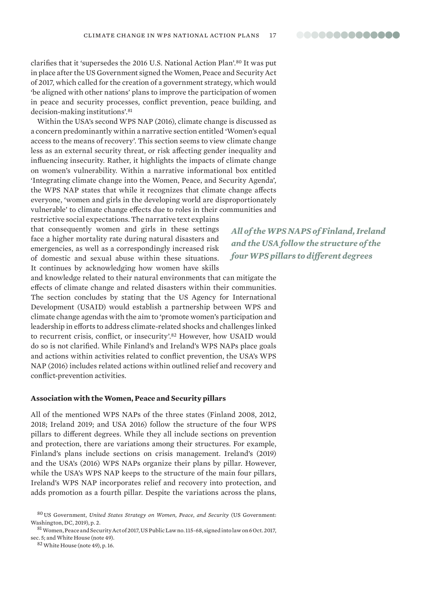00000000000000

clarifies that it 'supersedes the 2016 U.S. National Action Plan'.<sup>80</sup> It was put in place after the US Government signed the Women, Peace and Security Act of 2017, which called for the creation of a government strategy, which would 'be aligned with other nations' plans to improve the participation of women in peace and security processes, conflict prevention, peace building, and decision-making institutions'.<sup>81</sup>

Within the USA's second WPS NAP (2016), climate change is discussed as a concern predominantly within a narrative section entitled 'Women's equal access to the means of recovery'. This section seems to view climate change less as an external security threat, or risk affecting gender inequality and influencing insecurity. Rather, it highlights the impacts of climate change on women's vulnerability. Within a narrative informational box entitled 'Integrating climate change into the Women, Peace, and Security Agenda', the WPS NAP states that while it recognizes that climate change affects everyone, 'women and girls in the developing world are disproportionately vulnerable' to climate change effects due to roles in their communities and restrictive social expectations. The narrative text explains

that consequently women and girls in these settings face a higher mortality rate during natural disasters and emergencies, as well as a correspondingly increased risk of domestic and sexual abuse within these situations. It continues by acknowledging how women have skills

and knowledge related to their natural environments that can mitigate the effects of climate change and related disasters within their communities. The section concludes by stating that the US Agency for International Development (USAID) would establish a partnership between WPS and climate change agendas with the aim to 'promote women's participation and leadership in efforts to address climate-related shocks and challenges linked to recurrent crisis, conflict, or insecurity'.<sup>82</sup> However, how USAID would do so is not clarified. While Finland's and Ireland's WPS NAPs place goals and actions within activities related to conflict prevention, the USA's WPS NAP (2016) includes related actions within outlined relief and recovery and conflict-prevention activities.

#### **Association with the Women, Peace and Security pillars**

All of the mentioned WPS NAPs of the three states (Finland 2008, 2012, 2018; Ireland 2019; and USA 2016) follow the structure of the four WPS pillars to different degrees. While they all include sections on prevention and protection, there are variations among their structures. For example, Finland's plans include sections on crisis management. Ireland's (2019) and the USA's (2016) WPS NAPs organize their plans by pillar. However, while the USA's WPS NAP keeps to the structure of the main four pillars, Ireland's WPS NAP incorporates relief and recovery into protection, and adds promotion as a fourth pillar. Despite the variations across the plans,

*All of the WPS NAPS of Finland, Ireland and the USA follow the structure of the four WPS pillars to different degrees*

<sup>80</sup> US Government, *[United States Strategy on Women, Peace, and Security](https://www.peacewomen.org/sites/default/files/WPS-Strategy-FINAL-PDF-6.11.19.pdf)* (US Government: Washington, DC, 2019), p. 2.

 $^{81}$  Women, Peace and Security Act of 2017, [US Public Law no. 115-68,](https://www.congress.gov/bill/115th-congress/senate-bill/1141) signed into law on 6 Oct. 2017, sec. 5; and White House (note 49).

<sup>82</sup>White House (note 49), p. 16.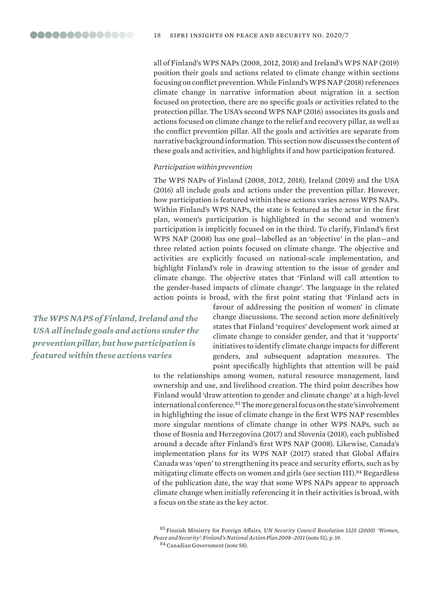all of Finland's WPS NAPs (2008, 2012, 2018) and Ireland's WPS NAP (2019) position their goals and actions related to climate change within sections focusing on conflict prevention. While Finland's WPS NAP (2018) references climate change in narrative information about migration in a section focused on protection, there are no specific goals or activities related to the protection pillar. The USA's second WPS NAP (2016) associates its goals and actions focused on climate change to the relief and recovery pillar, as well as the conflict prevention pillar. All the goals and activities are separate from narrative background information. This section now discusses the content of these goals and activities, and highlights if and how participation featured.

#### *Participation within prevention*

The WPS NAPs of Finland (2008, 2012, 2018), Ireland (2019) and the USA (2016) all include goals and actions under the prevention pillar. However, how participation is featured within these actions varies across WPS NAPs. Within Finland's WPS NAPs, the state is featured as the actor in the first plan, women's participation is highlighted in the second and women's participation is implicitly focused on in the third. To clarify, Finland's first WPS NAP (2008) has one goal—labelled as an 'objective' in the plan—and three related action points focused on climate change. The objective and activities are explicitly focused on national-scale implementation, and highlight Finland's role in drawing attention to the issue of gender and climate change. The objective states that 'Finland will call attention to the gender-based impacts of climate change'. The language in the related action points is broad, with the first point stating that 'Finland acts in

*The WPS NAPS of Finland, Ireland and the USA all include goals and actions under the prevention pillar, but how participation is featured within these actions varies*

favour of addressing the position of women' in climate change discussions. The second action more definitively states that Finland 'requires' development work aimed at climate change to consider gender, and that it 'supports' initiatives to identify climate change impacts for different genders, and subsequent adaptation measures. The point specifically highlights that attention will be paid

to the relationships among women, natural resource management, land ownership and use, and livelihood creation. The third point describes how Finland would 'draw attention to gender and climate change' at a high-level international conference.<sup>83</sup> The more general focus on the state's involvement in highlighting the issue of climate change in the first WPS NAP resembles more singular mentions of climate change in other WPS NAPs, such as those of Bosnia and Herzegovina (2017) and Slovenia (2018), each published around a decade after Finland's first WPS NAP (2008). Likewise, Canada's implementation plans for its WPS NAP (2017) stated that Global Affairs Canada was 'open' to strengthening its peace and security efforts, such as by mitigating climate effects on women and girls (see section III).<sup>84</sup> Regardless of the publication date, the way that some WPS NAPs appear to approach climate change when initially referencing it in their activities is broad, with a focus on the state as the key actor.

<sup>83</sup> Finnish Ministry for Foreign Affairs, *UN Security Council Resolution 1325 (2000) 'Women, Peace and Security': Finland's National Action Plan 2008–2011* (note 51), p. 19.

84 Canadian Government (note 58).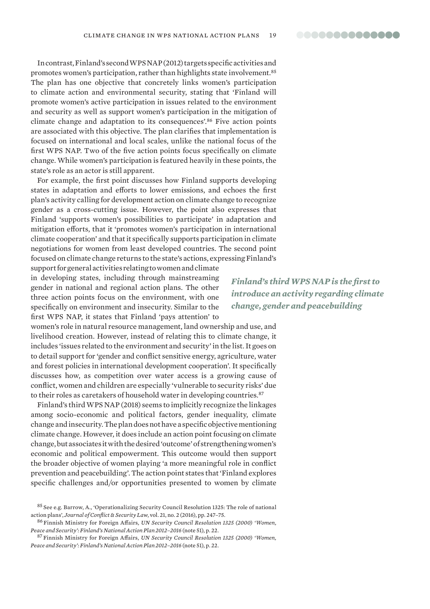In contrast, Finland's second WPS NAP (2012) targets specific activities and promotes women's participation, rather than highlights state involvement.<sup>85</sup> The plan has one objective that concretely links women's participation to climate action and environmental security, stating that 'Finland will promote women's active participation in issues related to the environment and security as well as support women's participation in the mitigation of climate change and adaptation to its consequences'.<sup>86</sup> Five action points are associated with this objective. The plan clarifies that implementation is focused on international and local scales, unlike the national focus of the first WPS NAP. Two of the five action points focus specifically on climate change. While women's participation is featured heavily in these points, the state's role as an actor is still apparent.

For example, the first point discusses how Finland supports developing states in adaptation and efforts to lower emissions, and echoes the first plan's activity calling for development action on climate change to recognize gender as a cross-cutting issue. However, the point also expresses that Finland 'supports women's possibilities to participate' in adaptation and mitigation efforts, that it 'promotes women's participation in international climate cooperation' and that it specifically supports participation in climate negotiations for women from least developed countries. The second point focused on climate change returns to the state's actions, expressing Finland's

support for general activities relating to women and climate in developing states, including through mainstreaming gender in national and regional action plans. The other three action points focus on the environment, with one specifically on environment and insecurity. Similar to the first WPS NAP, it states that Finland 'pays attention' to

women's role in natural resource management, land ownership and use, and livelihood creation. However, instead of relating this to climate change, it includes 'issues related to the environment and security' in the list. It goes on to detail support for 'gender and conflict sensitive energy, agriculture, water and forest policies in international development cooperation'. It specifically discusses how, as competition over water access is a growing cause of conflict, women and children are especially 'vulnerable to security risks' due to their roles as caretakers of household water in developing countries.<sup>87</sup>

Finland's third WPS NAP (2018) seems to implicitly recognize the linkages among socio-economic and political factors, gender inequality, climate change and insecurity. The plan does not have a specific objective mentioning climate change. However, it does include an action point focusing on climate change, but associates it with the desired 'outcome' of strengthening women's economic and political empowerment. This outcome would then support the broader objective of women playing 'a more meaningful role in conflict prevention and peacebuilding'. The action point states that 'Finland explores specific challenges and/or opportunities presented to women by climate

*Finland's third WPS NAP is the first to introduce an activity regarding climate change, gender and peacebuilding*

<sup>&</sup>lt;sup>85</sup> See e.g. Barrow, A., 'Operationalizing Security Council Resolution 1325: The role of national action plans', *Journal of Conflict & Security Law*, vol. 21, no. 2 (2016), pp. 247–75.

<sup>86</sup> Finnish Ministry for Foreign Affairs, *UN Security Council Resolution 1325 (2000) 'Women, Peace and Security': Finland's National Action Plan 2012–2016* (note 51), p. 22.

<sup>87</sup> Finnish Ministry for Foreign Affairs, *UN Security Council Resolution 1325 (2000) 'Women, Peace and Security': Finland's National Action Plan 2012–2016* (note 51), p. 22.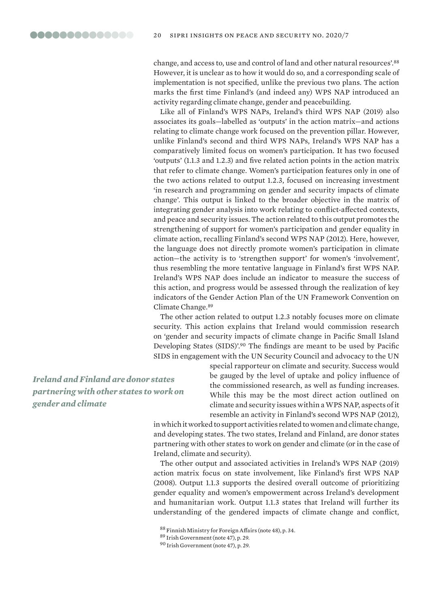change, and access to, use and control of land and other natural resources'.<sup>88</sup> However, it is unclear as to how it would do so, and a corresponding scale of implementation is not specified, unlike the previous two plans. The action marks the first time Finland's (and indeed any) WPS NAP introduced an activity regarding climate change, gender and peacebuilding.

Like all of Finland's WPS NAPs, Ireland's third WPS NAP (2019) also associates its goals—labelled as 'outputs' in the action matrix—and actions relating to climate change work focused on the prevention pillar. However, unlike Finland's second and third WPS NAPs, Ireland's WPS NAP has a comparatively limited focus on women's participation. It has two focused 'outputs' (1.1.3 and 1.2.3) and five related action points in the action matrix that refer to climate change. Women's participation features only in one of the two actions related to output 1.2.3, focused on increasing investment 'in research and programming on gender and security impacts of climate change'. This output is linked to the broader objective in the matrix of integrating gender analysis into work relating to conflict-affected contexts, and peace and security issues. The action related to this output promotes the strengthening of support for women's participation and gender equality in climate action, recalling Finland's second WPS NAP (2012). Here, however, the language does not directly promote women's participation in climate action—the activity is to 'strengthen support' for women's 'involvement', thus resembling the more tentative language in Finland's first WPS NAP. Ireland's WPS NAP does include an indicator to measure the success of this action, and progress would be assessed through the realization of key indicators of the Gender Action Plan of the UN Framework Convention on Climate Change.<sup>89</sup>

The other action related to output 1.2.3 notably focuses more on climate security. This action explains that Ireland would commission research on 'gender and security impacts of climate change in Pacific Small Island Developing States (SIDS)'.<sup>90</sup> The findings are meant to be used by Pacific SIDS in engagement with the UN Security Council and advocacy to the UN

*Ireland and Finland are donor states partnering with other states to work on gender and climate*

special rapporteur on climate and security. Success would be gauged by the level of uptake and policy influence of the commissioned research, as well as funding increases. While this may be the most direct action outlined on climate and security issues within a WPS NAP, aspects of it resemble an activity in Finland's second WPS NAP (2012),

in which it worked to support activities related to women and climate change, and developing states. The two states, Ireland and Finland, are donor states partnering with other states to work on gender and climate (or in the case of Ireland, climate and security).

The other output and associated activities in Ireland's WPS NAP (2019) action matrix focus on state involvement, like Finland's first WPS NAP (2008). Output 1.1.3 supports the desired overall outcome of prioritizing gender equality and women's empowerment across Ireland's development and humanitarian work. Output 1.1.3 states that Ireland will further its understanding of the gendered impacts of climate change and conflict,

<sup>88</sup> Finnish Ministry for Foreign Affairs (note 48), p. 34.

<sup>89</sup> Irish Government (note 47), p. 29.

<sup>90</sup> Irish Government (note 47), p. 29.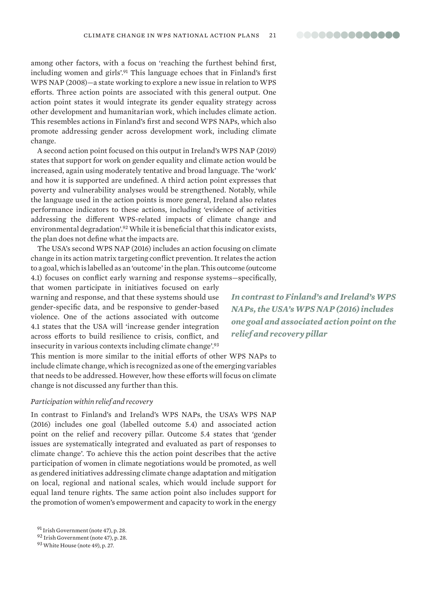among other factors, with a focus on 'reaching the furthest behind first, including women and girls'.<sup>91</sup> This language echoes that in Finland's first WPS NAP (2008)—a state working to explore a new issue in relation to WPS efforts. Three action points are associated with this general output. One action point states it would integrate its gender equality strategy across other development and humanitarian work, which includes climate action. This resembles actions in Finland's first and second WPS NAPs, which also promote addressing gender across development work, including climate change.

A second action point focused on this output in Ireland's WPS NAP (2019) states that support for work on gender equality and climate action would be increased, again using moderately tentative and broad language. The 'work' and how it is supported are undefined. A third action point expresses that poverty and vulnerability analyses would be strengthened. Notably, while the language used in the action points is more general, Ireland also relates performance indicators to these actions, including 'evidence of activities addressing the different WPS-related impacts of climate change and environmental degradation'.<sup>92</sup> While it is beneficial that this indicator exists, the plan does not define what the impacts are.

The USA's second WPS NAP (2016) includes an action focusing on climate change in its action matrix targeting conflict prevention. It relates the action to a goal, which is labelled as an 'outcome' in the plan. This outcome (outcome 4.1) focuses on conflict early warning and response systems—specifically,

that women participate in initiatives focused on early warning and response, and that these systems should use gender-specific data, and be responsive to gender-based violence. One of the actions associated with outcome 4.1 states that the USA will 'increase gender integration across efforts to build resilience to crisis, conflict, and insecurity in various contexts including climate change'.<sup>93</sup>

This mention is more similar to the initial efforts of other WPS NAPs to include climate change, which is recognized as one of the emerging variables that needs to be addressed. However, how these efforts will focus on climate change is not discussed any further than this.

#### *Participation within relief and recovery*

In contrast to Finland's and Ireland's WPS NAPs, the USA's WPS NAP (2016) includes one goal (labelled outcome 5.4) and associated action point on the relief and recovery pillar. Outcome 5.4 states that 'gender issues are systematically integrated and evaluated as part of responses to climate change'. To achieve this the action point describes that the active participation of women in climate negotiations would be promoted, as well as gendered initiatives addressing climate change adaptation and mitigation on local, regional and national scales, which would include support for equal land tenure rights. The same action point also includes support for the promotion of women's empowerment and capacity to work in the energy

*In contrast to Finland's and Ireland's WPS NAPs, the USA's WPS NAP (2016) includes one goal and associated action point on the relief and recovery pillar*

<sup>91</sup> Irish Government (note 47), p. 28.

<sup>92</sup> Irish Government (note 47), p. 28.

<sup>93</sup>White House (note 49), p. 27.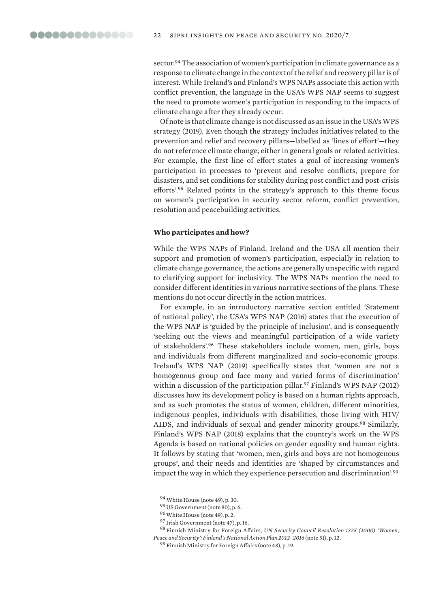sector.<sup>94</sup> The association of women's participation in climate governance as a response to climate change in the context of the relief and recovery pillar is of interest. While Ireland's and Finland's WPS NAPs associate this action with conflict prevention, the language in the USA's WPS NAP seems to suggest the need to promote women's participation in responding to the impacts of climate change after they already occur.

Of note is that climate change is not discussed as an issue in the USA's WPS strategy (2019). Even though the strategy includes initiatives related to the prevention and relief and recovery pillars—labelled as 'lines of effort'—they do not reference climate change, either in general goals or related activities. For example, the first line of effort states a goal of increasing women's participation in processes to 'prevent and resolve conflicts, prepare for disasters, and set conditions for stability during post conflict and post-crisis efforts'.<sup>95</sup> Related points in the strategy's approach to this theme focus on women's participation in security sector reform, conflict prevention, resolution and peacebuilding activities.

#### **Who participates and how?**

While the WPS NAPs of Finland, Ireland and the USA all mention their support and promotion of women's participation, especially in relation to climate change governance, the actions are generally unspecific with regard to clarifying support for inclusivity. The WPS NAPs mention the need to consider different identities in various narrative sections of the plans. These mentions do not occur directly in the action matrices.

For example, in an introductory narrative section entitled 'Statement of national policy', the USA's WPS NAP (2016) states that the execution of the WPS NAP is 'guided by the principle of inclusion', and is consequently 'seeking out the views and meaningful participation of a wide variety of stakeholders'.<sup>96</sup> These stakeholders include women, men, girls, boys and individuals from different marginalized and socio-economic groups. Ireland's WPS NAP (2019) specifically states that 'women are not a homogenous group and face many and varied forms of discrimination' within a discussion of the participation pillar.<sup>97</sup> Finland's WPS NAP (2012) discusses how its development policy is based on a human rights approach, and as such promotes the status of women, children, different minorities, indigenous peoples, individuals with disabilities, those living with HIV/ AIDS, and individuals of sexual and gender minority groups.<sup>98</sup> Similarly, Finland's WPS NAP (2018) explains that the country's work on the WPS Agenda is based on national policies on gender equality and human rights. It follows by stating that 'women, men, girls and boys are not homogenous groups', and their needs and identities are 'shaped by circumstances and impact the way in which they experience persecution and discrimination'.<sup>99</sup>

<sup>95</sup> US Government (note 80), p. 6.

<sup>94</sup>White House (note 49), p. 30.

<sup>96</sup>White House (note 49), p. 2.

<sup>97</sup> Irish Government (note 47), p. 16.

<sup>98</sup> Finnish Ministry for Foreign Affairs, *UN Security Council Resolution 1325 (2000) 'Women, Peace and Security': Finland's National Action Plan 2012–2016* (note 51), p. 12.

<sup>&</sup>lt;sup>99</sup> Finnish Ministry for Foreign Affairs (note 48), p. 19.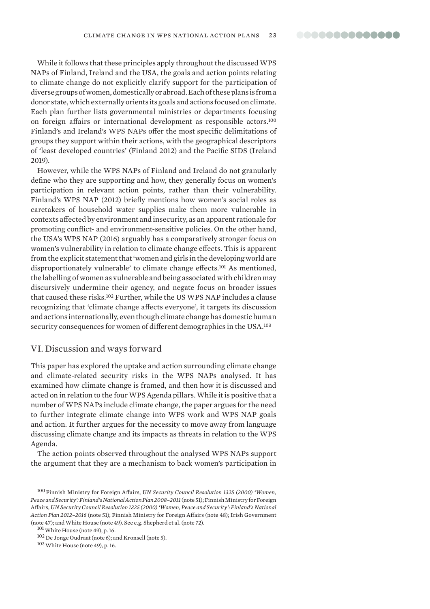While it follows that these principles apply throughout the discussed WPS NAPs of Finland, Ireland and the USA, the goals and action points relating to climate change do not explicitly clarify support for the participation of diverse groups of women, domestically or abroad. Each of these plans is from a donor state, which externally orients its goals and actions focused on climate. Each plan further lists governmental ministries or departments focusing on foreign affairs or international development as responsible actors.<sup>100</sup> Finland's and Ireland's WPS NAPs offer the most specific delimitations of groups they support within their actions, with the geographical descriptors of 'least developed countries' (Finland 2012) and the Pacific SIDS (Ireland 2019).

However, while the WPS NAPs of Finland and Ireland do not granularly define who they are supporting and how, they generally focus on women's participation in relevant action points, rather than their vulnerability. Finland's WPS NAP (2012) briefly mentions how women's social roles as caretakers of household water supplies make them more vulnerable in contexts affected by environment and insecurity, as an apparent rationale for promoting conflict- and environment-sensitive policies. On the other hand, the USA's WPS NAP (2016) arguably has a comparatively stronger focus on women's vulnerability in relation to climate change effects. This is apparent from the explicit statement that'women and girls in the developing world are disproportionately vulnerable' to climate change effects.<sup>101</sup> As mentioned, the labelling of women as vulnerable and being associated with children may discursively undermine their agency, and negate focus on broader issues that caused these risks.<sup>102</sup> Further, while the US WPS NAP includes a clause recognizing that 'climate change affects everyone', it targets its discussion and actions internationally, even though climate change has domestic human security consequences for women of different demographics in the USA.<sup>103</sup>

#### VI. Discussion and ways forward

This paper has explored the uptake and action surrounding climate change and climate-related security risks in the WPS NAPs analysed. It has examined how climate change is framed, and then how it is discussed and acted on in relation to the four WPS Agenda pillars. While it is positive that a number of WPS NAPs include climate change, the paper argues for the need to further integrate climate change into WPS work and WPS NAP goals and action. It further argues for the necessity to move away from language discussing climate change and its impacts as threats in relation to the WPS Agenda.

The action points observed throughout the analysed WPS NAPs support the argument that they are a mechanism to back women's participation in

<sup>100</sup> Finnish Ministry for Foreign Affairs, *UN Security Council Resolution 1325 (2000) 'Women, Peace and Security': Finland's National Action Plan 2008–2011* (note 51); Finnish Ministry for Foreign Affairs, *UN Security Council Resolution 1325 (2000) 'Women, Peace and Security': Finland's National Action Plan 2012–2016* (note 51); Finnish Ministry for Foreign Affairs (note 48); Irish Government (note 47); and White House (note 49). See e.g. Shepherd et al. (note 72).

<sup>101</sup> White House (note 49), p. 16.

<sup>102</sup> De Jonge Oudraat (note 6); and Kronsell (note 5).

<sup>103</sup>White House (note 49), p. 16.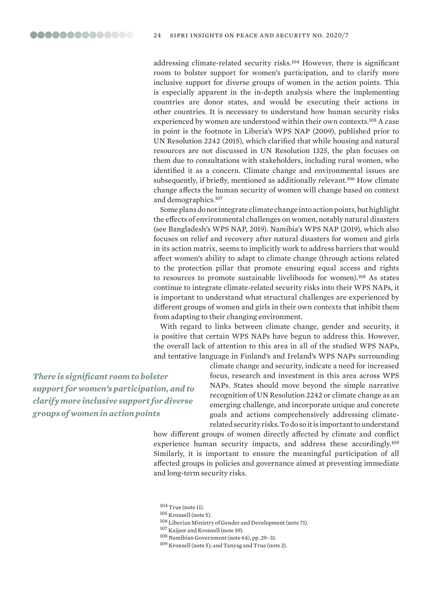addressing climate-related security risks.<sup>104</sup> However, there is significant room to bolster support for women's participation, and to clarify more inclusive support for diverse groups of women in the action points. This is especially apparent in the in-depth analysis where the implementing countries are donor states, and would be executing their actions in other countries. It is necessary to understand how human security risks experienced by women are understood within their own contexts.<sup>105</sup> A case in point is the footnote in Liberia's WPS NAP (2009), published prior to UN Resolution 2242 (2015), which clarified that while housing and natural resources are not discussed in UN Resolution 1325, the plan focuses on them due to consultations with stakeholders, including rural women, who identified it as a concern. Climate change and environmental issues are subsequently, if briefly, mentioned as additionally relevant.<sup>106</sup> How climate change affects the human security of women will change based on context and demographics.<sup>107</sup>

Some plans do not integrate climate change into action points, but highlight the effects of environmental challenges on women, notably natural disasters (see Bangladesh's WPS NAP, 2019). Namibia's WPS NAP (2019), which also focuses on relief and recovery after natural disasters for women and girls in its action matrix, seems to implicitly work to address barriers that would affect women's ability to adapt to climate change (through actions related to the protection pillar that promote ensuring equal access and rights to resources to promote sustainable livelihoods for women).<sup>108</sup> As states continue to integrate climate-related security risks into their WPS NAPs, it is important to understand what structural challenges are experienced by different groups of women and girls in their own contexts that inhibit them from adapting to their changing environment.

With regard to links between climate change, gender and security, it is positive that certain WPS NAPs have begun to address this. However, the overall lack of attention to this area in all of the studied WPS NAPs, and tentative language in Finland's and Ireland's WPS NAPs surrounding

*There is significant room to bolster support for women's participation, and to clarify more inclusive support for diverse groups of women in action points*

climate change and security, indicate a need for increased focus, research and investment in this area across WPS NAPs. States should move beyond the simple narrative recognition of UN Resolution 2242 or climate change as an emerging challenge, and incorporate unique and concrete goals and actions comprehensively addressing climaterelated security risks. To do so it is important to understand

how different groups of women directly affected by climate and conflict experience human security impacts, and address these accordingly.<sup>109</sup> Similarly, it is important to ensure the meaningful participation of all affected groups in policies and governance aimed at preventing immediate and long-term security risks.

 $104$  True (note 11).

<sup>105</sup> Kronsell (note 5).

<sup>106</sup> Liberian Ministry of Gender and Development (note 71).

<sup>107</sup> Kaijser and Kronsell (note 39).

<sup>108</sup> Namibian Government (note 64), pp. 29–31.

<sup>109</sup> Kronsell (note 5); and Tanyag and True (note 2).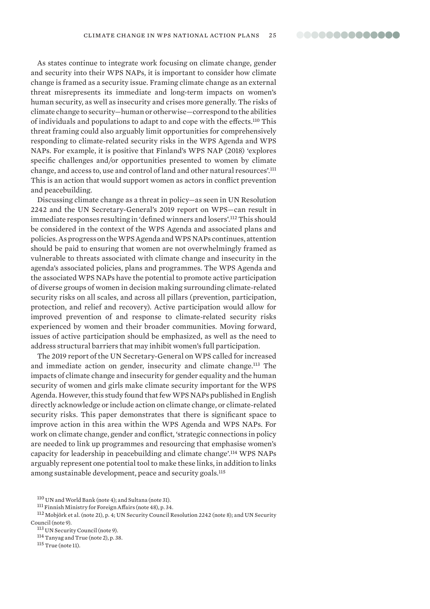As states continue to integrate work focusing on climate change, gender and security into their WPS NAPs, it is important to consider how climate change is framed as a security issue. Framing climate change as an external threat misrepresents its immediate and long-term impacts on women's human security, as well as insecurity and crises more generally. The risks of climate change to security—human or otherwise—correspond to the abilities of individuals and populations to adapt to and cope with the effects.<sup>110</sup> This threat framing could also arguably limit opportunities for comprehensively responding to climate-related security risks in the WPS Agenda and WPS NAPs. For example, it is positive that Finland's WPS NAP (2018) 'explores specific challenges and/or opportunities presented to women by climate change, and access to, use and control of land and other natural resources'.<sup>111</sup> This is an action that would support women as actors in conflict prevention and peacebuilding.

Discussing climate change as a threat in policy—as seen in UN Resolution 2242 and the UN Secretary-General's 2019 report on WPS—can result in immediate responses resulting in 'defined winners and losers'.<sup>112</sup> This should be considered in the context of the WPS Agenda and associated plans and policies. As progress on the WPS Agenda and WPS NAPs continues, attention should be paid to ensuring that women are not overwhelmingly framed as vulnerable to threats associated with climate change and insecurity in the agenda's associated policies, plans and programmes. The WPS Agenda and the associated WPS NAPs have the potential to promote active participation of diverse groups of women in decision making surrounding climate-related security risks on all scales, and across all pillars (prevention, participation, protection, and relief and recovery). Active participation would allow for improved prevention of and response to climate-related security risks experienced by women and their broader communities. Moving forward, issues of active participation should be emphasized, as well as the need to address structural barriers that may inhibit women's full participation.

The 2019 report of the UN Secretary-General on WPS called for increased and immediate action on gender, insecurity and climate change.<sup>113</sup> The impacts of climate change and insecurity for gender equality and the human security of women and girls make climate security important for the WPS Agenda. However, this study found that few WPS NAPs published in English directly acknowledge or include action on climate change, or climate-related security risks. This paper demonstrates that there is significant space to improve action in this area within the WPS Agenda and WPS NAPs. For work on climate change, gender and conflict, 'strategic connections in policy are needed to link up programmes and resourcing that emphasise women's capacity for leadership in peacebuilding and climate change'.<sup>114</sup> WPS NAPs arguably represent one potential tool to make these links, in addition to links among sustainable development, peace and security goals.<sup>115</sup>

115 True (note 11).

<sup>110</sup> UN and World Bank (note 4); and Sultana (note 31).

<sup>111</sup> Finnish Ministry for Foreign Affairs (note 48), p. 34.

<sup>112</sup> Mobjörk et al. (note 21), p. 4; UN Security Council Resolution 2242 (note 8); and UN Security Council (note 9). 113 UN Security Council (note 9).

<sup>114</sup> Tanyag and True (note 2), p. 38.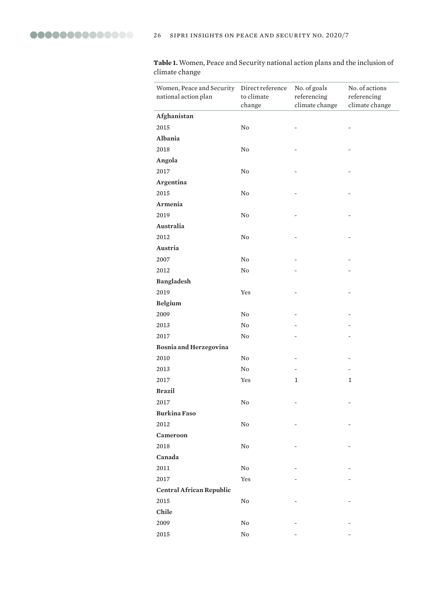**Table 1.** Women, Peace and Security national action plans and the inclusion of climate change

| Women, Peace and Security Direct reference<br>national action plan | to climate<br>change | No. of goals<br>referencing<br>climate change | No. of actions<br>referencing<br>climate change |
|--------------------------------------------------------------------|----------------------|-----------------------------------------------|-------------------------------------------------|
| Afghanistan                                                        |                      |                                               |                                                 |
| 2015                                                               | $\rm No$             |                                               |                                                 |
| Albania                                                            |                      |                                               |                                                 |
| 2018                                                               | $\rm No$             |                                               |                                                 |
| Angola                                                             |                      |                                               |                                                 |
| 2017                                                               | $\rm No$             |                                               |                                                 |
| Argentina                                                          |                      |                                               |                                                 |
| 2015                                                               | $\rm No$             |                                               |                                                 |
| Armenia                                                            |                      |                                               |                                                 |
| 2019                                                               | $\rm No$             |                                               |                                                 |
| Australia                                                          |                      |                                               |                                                 |
| 2012                                                               | $\rm No$             |                                               |                                                 |
| Austria                                                            |                      |                                               |                                                 |
| 2007                                                               | $\rm No$             |                                               |                                                 |
| 2012                                                               | No                   |                                               |                                                 |
| <b>Bangladesh</b>                                                  |                      |                                               |                                                 |
| 2019                                                               | Yes                  |                                               |                                                 |
| <b>Belgium</b>                                                     |                      |                                               |                                                 |
| 2009                                                               | $\rm No$             |                                               |                                                 |
| 2013                                                               | $\rm No$             |                                               |                                                 |
| 2017                                                               | $\rm No$             |                                               |                                                 |
| <b>Bosnia and Herzegovina</b>                                      |                      |                                               |                                                 |
| 2010                                                               | $\rm No$             |                                               |                                                 |
| 2013                                                               | No.                  |                                               |                                                 |
| 2017                                                               | Yes                  | 1                                             | 1                                               |
| <b>Brazil</b>                                                      |                      |                                               |                                                 |
| 2017                                                               | ${\rm No}$           | $\overline{a}$                                |                                                 |
| <b>Burkina Faso</b>                                                |                      |                                               |                                                 |
| 2012                                                               | $\rm No$             |                                               |                                                 |
| Cameroon                                                           |                      |                                               |                                                 |
| 2018                                                               | No                   |                                               |                                                 |
| Canada                                                             |                      |                                               |                                                 |
| 2011                                                               | $\rm No$             |                                               |                                                 |
| 2017                                                               | Yes                  |                                               |                                                 |
| <b>Central African Republic</b>                                    |                      |                                               |                                                 |
| 2015                                                               | No                   |                                               |                                                 |
| Chile                                                              |                      |                                               |                                                 |
| 2009                                                               | No                   |                                               |                                                 |
| 2015                                                               | No                   |                                               |                                                 |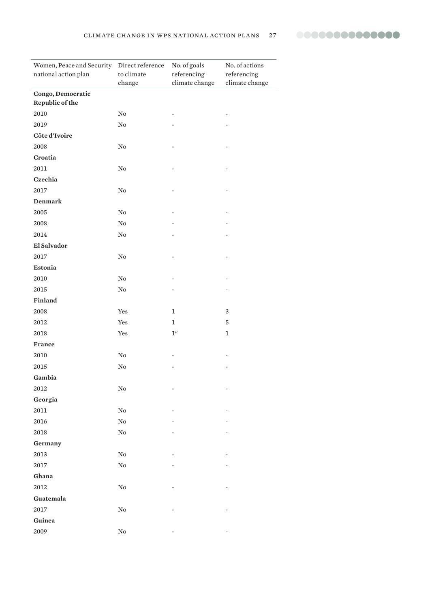

| Women, Peace and Security Direct reference<br>national action plan | to climate<br>change | No. of goals<br>referencing<br>climate change | No. of actions<br>referencing<br>climate change |
|--------------------------------------------------------------------|----------------------|-----------------------------------------------|-------------------------------------------------|
| Congo, Democratic                                                  |                      |                                               |                                                 |
| Republic of the                                                    |                      |                                               |                                                 |
| 2010                                                               | $\rm No$             |                                               |                                                 |
| 2019                                                               | $\rm No$             |                                               |                                                 |
| Côte d'Ivoire                                                      |                      |                                               |                                                 |
| 2008                                                               | $\rm No$             |                                               |                                                 |
| Croatia                                                            |                      |                                               |                                                 |
| 2011                                                               | $\rm No$             |                                               |                                                 |
| Czechia                                                            |                      |                                               |                                                 |
| 2017                                                               | $\rm No$             |                                               |                                                 |
| Denmark                                                            |                      |                                               |                                                 |
| 2005                                                               | No                   |                                               |                                                 |
| 2008                                                               | No                   |                                               |                                                 |
| 2014                                                               | $\rm No$             |                                               |                                                 |
| El Salvador                                                        |                      |                                               |                                                 |
| 2017                                                               | $\rm No$             | $\overline{\phantom{0}}$                      |                                                 |
| <b>Estonia</b>                                                     |                      |                                               |                                                 |
| 2010                                                               | ${\rm No}$           |                                               |                                                 |
| 2015                                                               | No                   |                                               |                                                 |
| Finland                                                            |                      |                                               |                                                 |
| 2008                                                               | Yes                  | 1                                             | 3                                               |
| 2012                                                               | Yes                  | $\mathbf 1$                                   | $\mathbf 5$                                     |
| 2018                                                               | Yes                  | 1 <sup>a</sup>                                | $\mathbf 1$                                     |
| France                                                             |                      |                                               |                                                 |
| 2010                                                               | No                   |                                               |                                                 |
| 2015                                                               | $\rm No$             |                                               |                                                 |
| Gambia                                                             |                      |                                               |                                                 |
| 2012                                                               | ${\bf No}$           |                                               |                                                 |
| Georgia                                                            |                      |                                               |                                                 |
| 2011                                                               | ${\rm No}$           |                                               |                                                 |
| 2016                                                               | ${\rm No}$           |                                               |                                                 |
| 2018                                                               | ${\rm No}$           |                                               |                                                 |
| Germany                                                            |                      |                                               |                                                 |
| 2013                                                               | $\rm No$             |                                               |                                                 |
| 2017                                                               | ${\rm No}$           |                                               |                                                 |
| Ghana                                                              |                      |                                               |                                                 |
| 2012                                                               | ${\rm No}$           |                                               |                                                 |
| Guatemala                                                          |                      |                                               |                                                 |
| 2017                                                               | $\rm No$             |                                               |                                                 |
| Guinea                                                             |                      |                                               |                                                 |
| 2009                                                               | $\rm No$             |                                               |                                                 |
|                                                                    |                      |                                               |                                                 |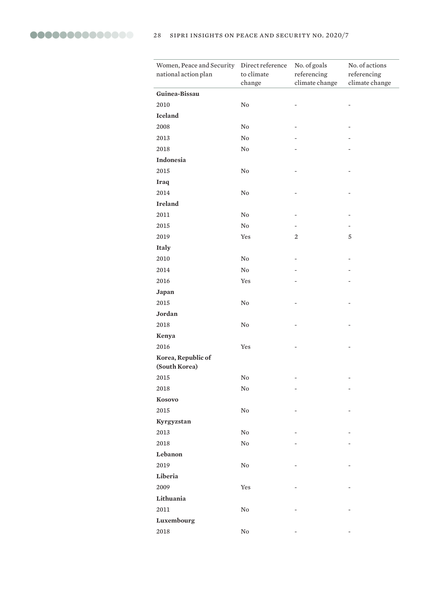| Women, Peace and Security<br>national action plan | Direct reference<br>to climate<br>change | No. of goals<br>referencing<br>climate change | No. of actions<br>referencing<br>climate change |
|---------------------------------------------------|------------------------------------------|-----------------------------------------------|-------------------------------------------------|
| Guinea-Bissau                                     |                                          |                                               |                                                 |
| 2010                                              | $\rm No$                                 |                                               |                                                 |
| <b>Iceland</b>                                    |                                          |                                               |                                                 |
| 2008                                              | $\rm No$                                 |                                               |                                                 |
| 2013                                              | $\rm No$                                 |                                               |                                                 |
| 2018                                              | No                                       |                                               |                                                 |
| <b>Indonesia</b>                                  |                                          |                                               |                                                 |
| 2015                                              | $\rm No$                                 |                                               |                                                 |
| <b>Iraq</b>                                       |                                          |                                               |                                                 |
| 2014                                              | $\rm No$                                 |                                               |                                                 |
| <b>Ireland</b>                                    |                                          |                                               |                                                 |
| 2011                                              | $\rm No$                                 |                                               |                                                 |
| 2015                                              | $\rm No$                                 |                                               |                                                 |
| 2019                                              | Yes                                      | 2                                             | 5                                               |
| <b>Italy</b>                                      |                                          |                                               |                                                 |
| 2010                                              | $\rm No$                                 |                                               |                                                 |
| 2014                                              | $\rm No$                                 |                                               |                                                 |
| 2016                                              | Yes                                      |                                               |                                                 |
| Japan                                             |                                          |                                               |                                                 |
| 2015                                              | $\rm No$                                 |                                               |                                                 |
| Jordan                                            |                                          |                                               |                                                 |
| 2018                                              | $\rm No$                                 |                                               |                                                 |
| Kenya                                             |                                          |                                               |                                                 |
| 2016                                              | Yes                                      |                                               |                                                 |
| Korea, Republic of<br>(South Korea)               |                                          |                                               |                                                 |
| 2015                                              | No                                       | ٠                                             |                                                 |
| 2018                                              | ${\bf No}$                               | $\overline{a}$                                |                                                 |
| Kosovo                                            |                                          |                                               |                                                 |
| 2015                                              | ${\bf No}$                               |                                               |                                                 |
| Kyrgyzstan                                        |                                          |                                               |                                                 |
| 2013                                              | ${\rm No}$                               |                                               |                                                 |
| 2018                                              | ${\rm No}$                               |                                               |                                                 |
| Lebanon                                           |                                          |                                               |                                                 |
| 2019                                              | $\rm No$                                 |                                               |                                                 |
| Liberia                                           |                                          |                                               |                                                 |
| 2009                                              | Yes                                      |                                               |                                                 |
| Lithuania                                         |                                          |                                               |                                                 |
| 2011                                              | ${\rm No}$                               |                                               |                                                 |
| Luxembourg                                        |                                          |                                               |                                                 |
| 2018                                              | $\rm No$                                 |                                               |                                                 |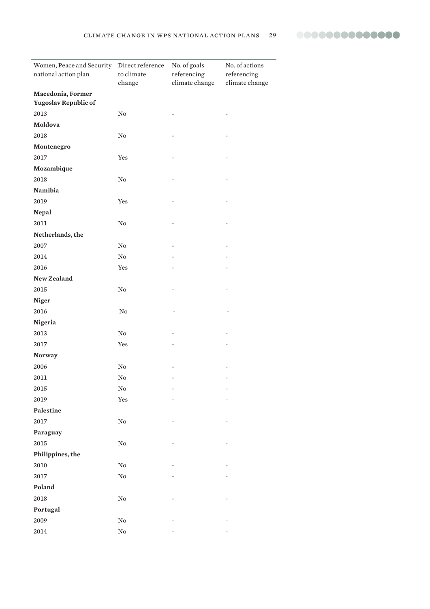| Women, Peace and Security Direct reference<br>national action plan | to climate<br>change | No. of goals<br>referencing<br>climate change | No. of actions<br>referencing<br>climate change |
|--------------------------------------------------------------------|----------------------|-----------------------------------------------|-------------------------------------------------|
| Macedonia, Former                                                  |                      |                                               |                                                 |
| Yugoslav Republic of                                               |                      |                                               |                                                 |
| 2013                                                               | $\rm No$             |                                               |                                                 |
| Moldova                                                            |                      |                                               |                                                 |
| 2018                                                               | $\rm No$             |                                               |                                                 |
| Montenegro                                                         |                      |                                               |                                                 |
| 2017                                                               | Yes                  |                                               |                                                 |
| Mozambique                                                         |                      |                                               |                                                 |
| 2018                                                               | $\rm No$             |                                               |                                                 |
| Namibia                                                            |                      |                                               |                                                 |
| 2019                                                               | Yes                  |                                               |                                                 |
| <b>Nepal</b>                                                       |                      |                                               |                                                 |
| 2011                                                               | $\rm No$             |                                               |                                                 |
| Netherlands, the                                                   |                      |                                               |                                                 |
| 2007                                                               | $\rm No$             |                                               |                                                 |
| 2014                                                               | $\rm No$             |                                               |                                                 |
| 2016                                                               | Yes                  |                                               |                                                 |
| New Zealand                                                        |                      |                                               |                                                 |
| 2015                                                               | $\rm No$             |                                               |                                                 |
| <b>Niger</b>                                                       |                      |                                               |                                                 |
| 2016                                                               | $\rm No$             |                                               |                                                 |
| Nigeria                                                            |                      |                                               |                                                 |
| 2013                                                               | $\rm No$             |                                               |                                                 |
| 2017                                                               | Yes                  |                                               |                                                 |
| <b>Norway</b>                                                      |                      |                                               |                                                 |
| 2006                                                               | No                   |                                               |                                                 |
| 2011                                                               | No                   |                                               |                                                 |
| 2015                                                               | ${\rm No}$           |                                               |                                                 |
| 2019                                                               | Yes                  |                                               |                                                 |
| Palestine                                                          |                      |                                               |                                                 |
| 2017                                                               | $\rm No$             |                                               |                                                 |
| Paraguay                                                           |                      |                                               |                                                 |
| 2015                                                               | $\rm No$             |                                               |                                                 |
| Philippines, the                                                   |                      |                                               |                                                 |
| 2010                                                               | $\rm No$             |                                               |                                                 |
| 2017                                                               | ${\rm No}$           |                                               |                                                 |
| Poland                                                             |                      |                                               |                                                 |
| 2018                                                               | ${\rm No}$           |                                               |                                                 |
| Portugal                                                           |                      |                                               |                                                 |
| 2009                                                               | $\rm No$             |                                               |                                                 |
| 2014                                                               | $\rm No$             |                                               |                                                 |
|                                                                    |                      |                                               |                                                 |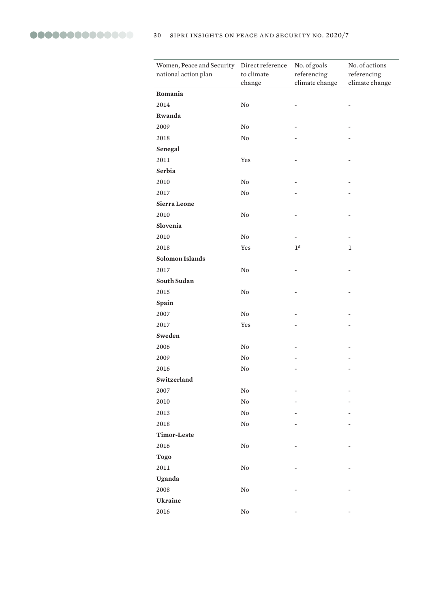| Women, Peace and Security Direct reference<br>national action plan | to climate<br>change | No. of goals<br>referencing<br>climate change | No. of actions<br>referencing<br>climate change |
|--------------------------------------------------------------------|----------------------|-----------------------------------------------|-------------------------------------------------|
| Romania                                                            |                      |                                               |                                                 |
| 2014                                                               | No                   |                                               |                                                 |
| Rwanda                                                             |                      |                                               |                                                 |
| 2009                                                               | $\rm No$             |                                               |                                                 |
| 2018                                                               | $\rm No$             |                                               |                                                 |
| Senegal                                                            |                      |                                               |                                                 |
| 2011                                                               | Yes                  |                                               |                                                 |
| Serbia                                                             |                      |                                               |                                                 |
| 2010                                                               | No                   |                                               |                                                 |
| 2017                                                               | No                   |                                               |                                                 |
| Sierra Leone                                                       |                      |                                               |                                                 |
| 2010                                                               | $\rm No$             |                                               |                                                 |
| Slovenia                                                           |                      |                                               |                                                 |
| 2010                                                               | $\rm No$             |                                               |                                                 |
| 2018                                                               | Yes                  | $1^a$                                         | $\mathbf{1}$                                    |
| <b>Solomon Islands</b>                                             |                      |                                               |                                                 |
| 2017                                                               | No                   |                                               |                                                 |
| South Sudan                                                        |                      |                                               |                                                 |
| 2015                                                               | $\rm No$             |                                               |                                                 |
| Spain                                                              |                      |                                               |                                                 |
| 2007                                                               | $\rm No$             |                                               |                                                 |
| 2017                                                               | Yes                  |                                               |                                                 |
| Sweden                                                             |                      |                                               |                                                 |
| 2006                                                               | No                   |                                               |                                                 |
| 2009                                                               | No                   |                                               |                                                 |
| 2016                                                               | $\rm No$             |                                               |                                                 |
| Switzerland                                                        |                      |                                               |                                                 |
| 2007                                                               | ${\bf No}$           |                                               |                                                 |
| 2010                                                               | ${\rm No}$           |                                               |                                                 |
| 2013                                                               | ${\bf No}$           |                                               |                                                 |
| 2018                                                               | ${\bf No}$           |                                               |                                                 |
| Timor-Leste                                                        |                      |                                               |                                                 |
| 2016                                                               | ${\bf No}$           |                                               |                                                 |
| <b>Togo</b>                                                        |                      |                                               |                                                 |
| $2011\,$                                                           | ${\bf No}$           |                                               |                                                 |
| Uganda                                                             |                      |                                               |                                                 |
| 2008                                                               | ${\bf No}$           |                                               |                                                 |
| Ukraine                                                            |                      |                                               |                                                 |
| 2016                                                               | ${\bf No}$           |                                               |                                                 |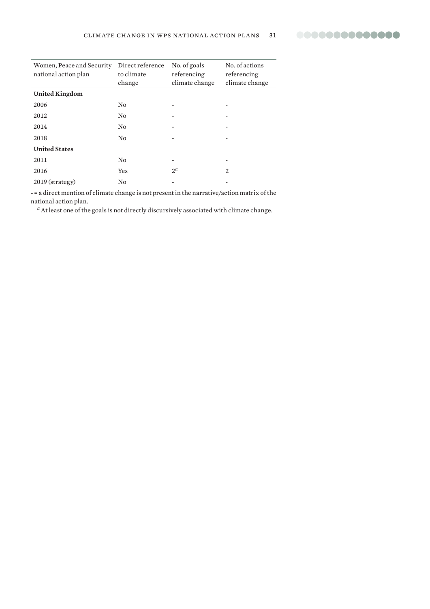

| Women, Peace and Security<br>national action plan | Direct reference<br>to climate<br>change | No. of goals<br>referencing<br>climate change | No. of actions<br>referencing<br>climate change |
|---------------------------------------------------|------------------------------------------|-----------------------------------------------|-------------------------------------------------|
| <b>United Kingdom</b>                             |                                          |                                               |                                                 |
| 2006                                              | N <sub>0</sub>                           |                                               |                                                 |
| 2012                                              | N <sub>0</sub>                           |                                               | -                                               |
| 2014                                              | N <sub>0</sub>                           |                                               |                                                 |
| 2018                                              | N <sub>0</sub>                           |                                               |                                                 |
| <b>United States</b>                              |                                          |                                               |                                                 |
| 2011                                              | N <sub>0</sub>                           | -                                             |                                                 |
| 2016                                              | Yes                                      | $2^{\alpha}$                                  | 2                                               |
| $2019$ (strategy)                                 | N <sub>0</sub>                           |                                               |                                                 |

- = a direct mention of climate change is not present in the narrative/action matrix of the national action plan.

*<sup>a</sup>* At least one of the goals is not directly discursively associated with climate change.